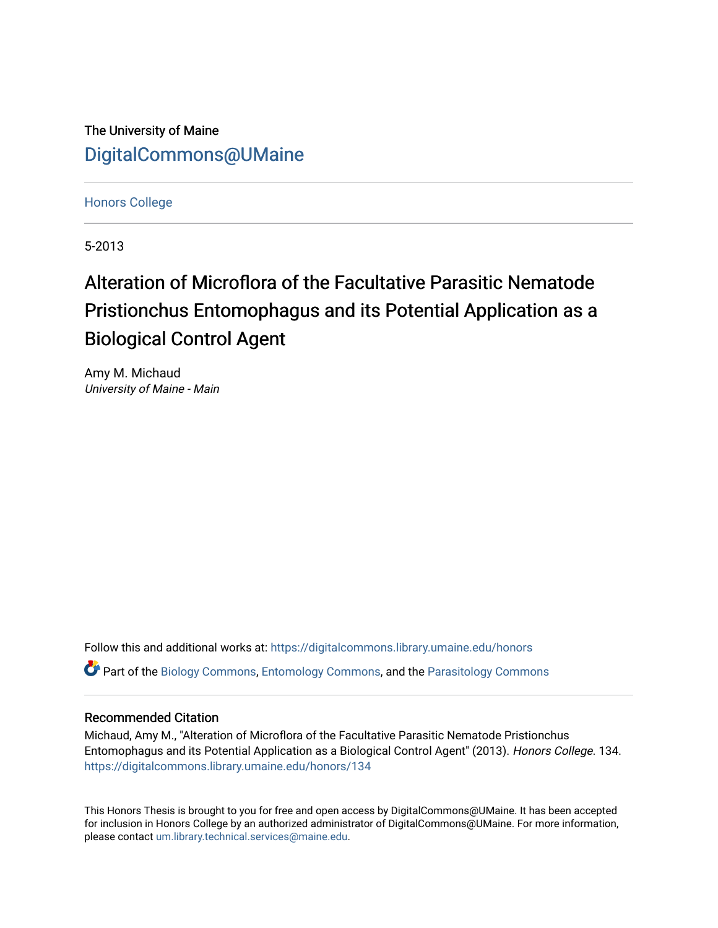The University of Maine [DigitalCommons@UMaine](https://digitalcommons.library.umaine.edu/)

[Honors College](https://digitalcommons.library.umaine.edu/honors)

5-2013

## Alteration of Microflora of the Facultative Parasitic Nematode Pristionchus Entomophagus and its Potential Application as a Biological Control Agent

Amy M. Michaud University of Maine - Main

Follow this and additional works at: [https://digitalcommons.library.umaine.edu/honors](https://digitalcommons.library.umaine.edu/honors?utm_source=digitalcommons.library.umaine.edu%2Fhonors%2F134&utm_medium=PDF&utm_campaign=PDFCoverPages)  Part of the [Biology Commons,](http://network.bepress.com/hgg/discipline/41?utm_source=digitalcommons.library.umaine.edu%2Fhonors%2F134&utm_medium=PDF&utm_campaign=PDFCoverPages) [Entomology Commons,](http://network.bepress.com/hgg/discipline/83?utm_source=digitalcommons.library.umaine.edu%2Fhonors%2F134&utm_medium=PDF&utm_campaign=PDFCoverPages) and the [Parasitology Commons](http://network.bepress.com/hgg/discipline/39?utm_source=digitalcommons.library.umaine.edu%2Fhonors%2F134&utm_medium=PDF&utm_campaign=PDFCoverPages) 

#### Recommended Citation

Michaud, Amy M., "Alteration of Microflora of the Facultative Parasitic Nematode Pristionchus Entomophagus and its Potential Application as a Biological Control Agent" (2013). Honors College. 134. [https://digitalcommons.library.umaine.edu/honors/134](https://digitalcommons.library.umaine.edu/honors/134?utm_source=digitalcommons.library.umaine.edu%2Fhonors%2F134&utm_medium=PDF&utm_campaign=PDFCoverPages) 

This Honors Thesis is brought to you for free and open access by DigitalCommons@UMaine. It has been accepted for inclusion in Honors College by an authorized administrator of DigitalCommons@UMaine. For more information, please contact [um.library.technical.services@maine.edu.](mailto:um.library.technical.services@maine.edu)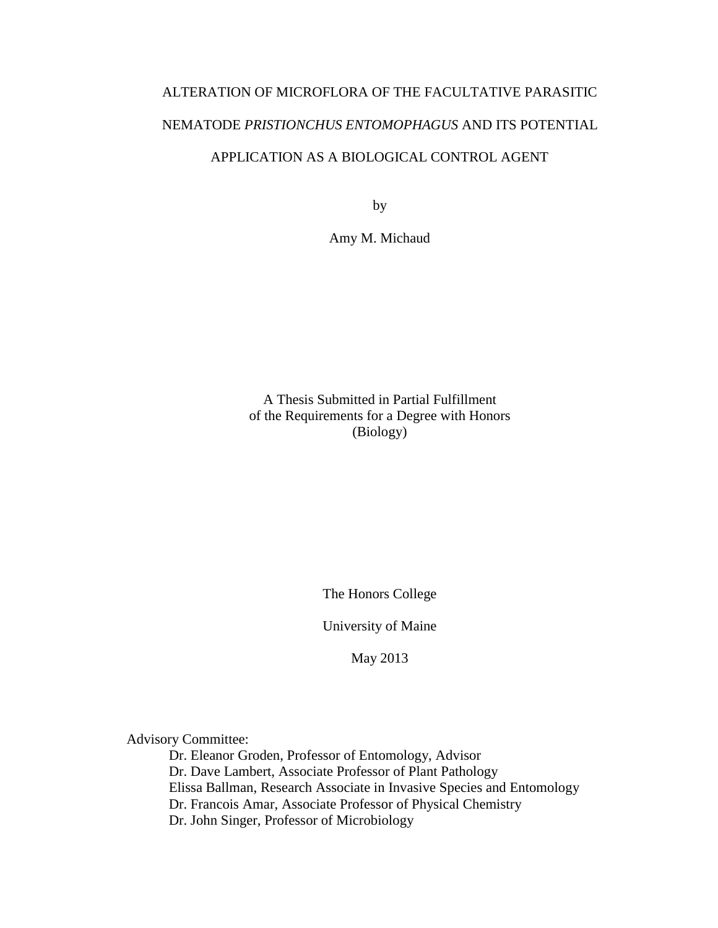# ALTERATION OF MICROFLORA OF THE FACULTATIVE PARASITIC NEMATODE *PRISTIONCHUS ENTOMOPHAGUS* AND ITS POTENTIAL APPLICATION AS A BIOLOGICAL CONTROL AGENT

by

Amy M. Michaud

## A Thesis Submitted in Partial Fulfillment of the Requirements for a Degree with Honors (Biology)

The Honors College

University of Maine

May 2013

Advisory Committee:

Dr. Eleanor Groden, Professor of Entomology, Advisor Dr. Dave Lambert, Associate Professor of Plant Pathology Elissa Ballman, Research Associate in Invasive Species and Entomology Dr. Francois Amar, Associate Professor of Physical Chemistry Dr. John Singer, Professor of Microbiology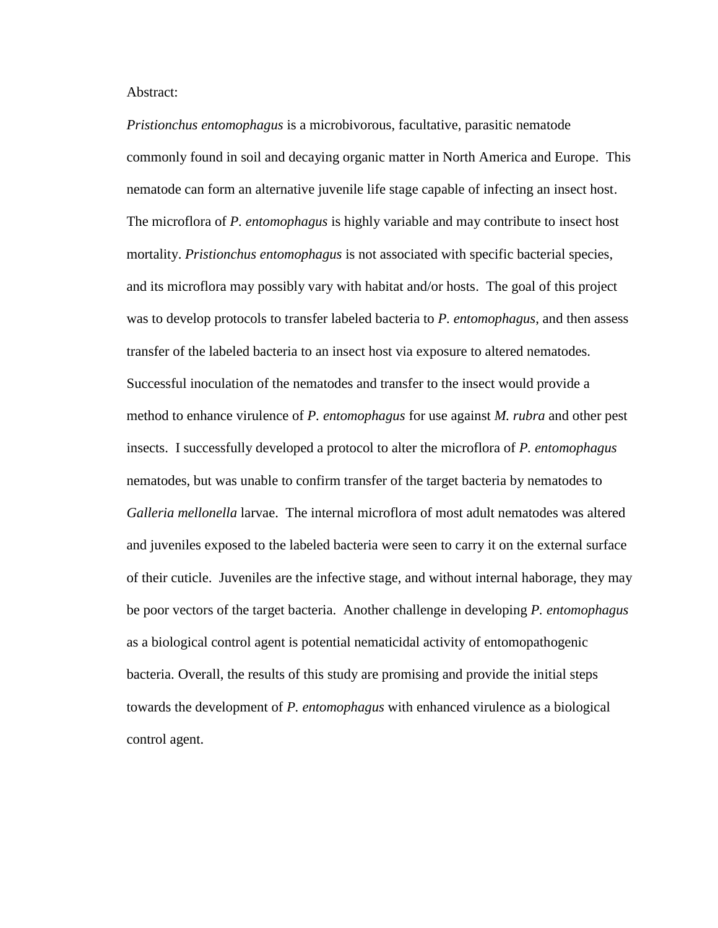Abstract:

*Pristionchus entomophagus* is a microbivorous, facultative, parasitic nematode commonly found in soil and decaying organic matter in North America and Europe. This nematode can form an alternative juvenile life stage capable of infecting an insect host. The microflora of *P. entomophagus* is highly variable and may contribute to insect host mortality. *Pristionchus entomophagus* is not associated with specific bacterial species, and its microflora may possibly vary with habitat and/or hosts. The goal of this project was to develop protocols to transfer labeled bacteria to *P. entomophagus*, and then assess transfer of the labeled bacteria to an insect host via exposure to altered nematodes. Successful inoculation of the nematodes and transfer to the insect would provide a method to enhance virulence of *P. entomophagus* for use against *M. rubra* and other pest insects. I successfully developed a protocol to alter the microflora of *P. entomophagus* nematodes, but was unable to confirm transfer of the target bacteria by nematodes to *Galleria mellonella* larvae. The internal microflora of most adult nematodes was altered and juveniles exposed to the labeled bacteria were seen to carry it on the external surface of their cuticle. Juveniles are the infective stage, and without internal haborage, they may be poor vectors of the target bacteria. Another challenge in developing *P. entomophagus* as a biological control agent is potential nematicidal activity of entomopathogenic bacteria. Overall, the results of this study are promising and provide the initial steps towards the development of *P. entomophagus* with enhanced virulence as a biological control agent.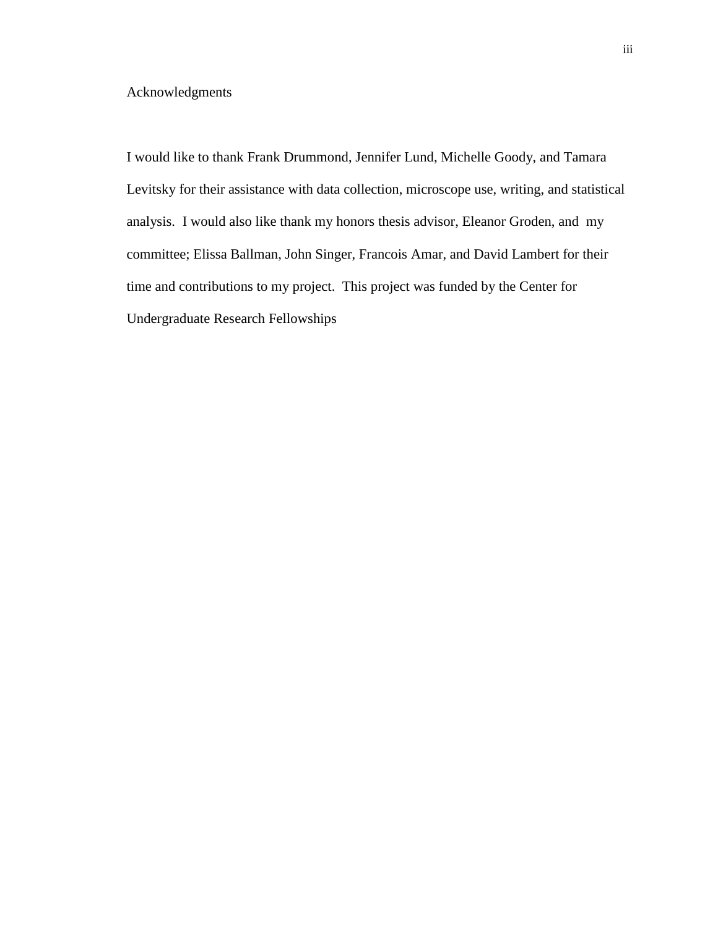## Acknowledgments

I would like to thank Frank Drummond, Jennifer Lund, Michelle Goody, and Tamara Levitsky for their assistance with data collection, microscope use, writing, and statistical analysis. I would also like thank my honors thesis advisor, Eleanor Groden, and my committee; Elissa Ballman, John Singer, Francois Amar, and David Lambert for their time and contributions to my project. This project was funded by the Center for Undergraduate Research Fellowships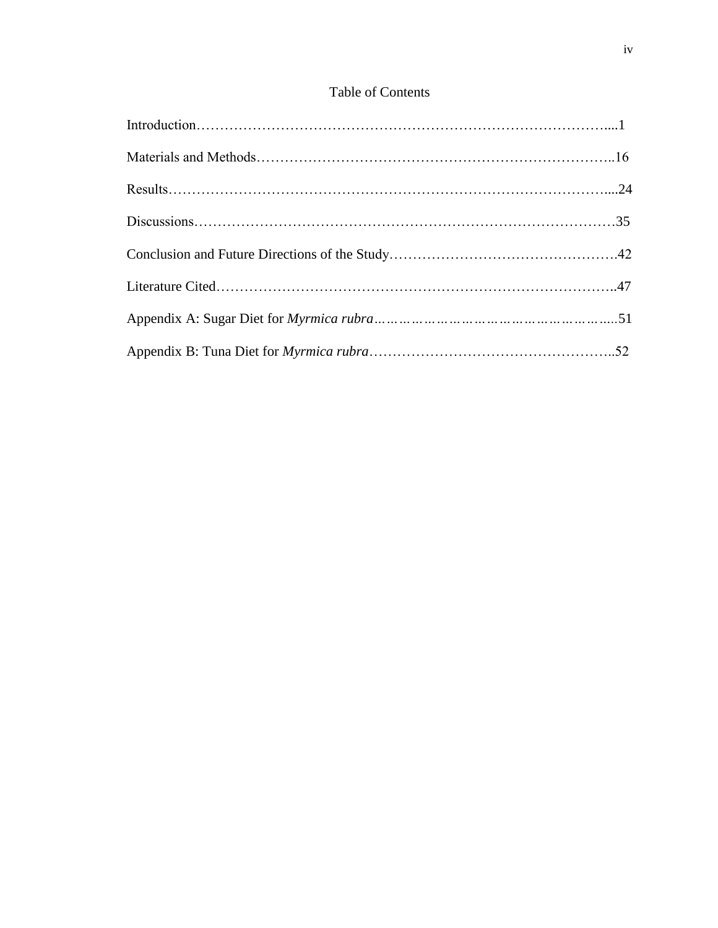## Table of Contents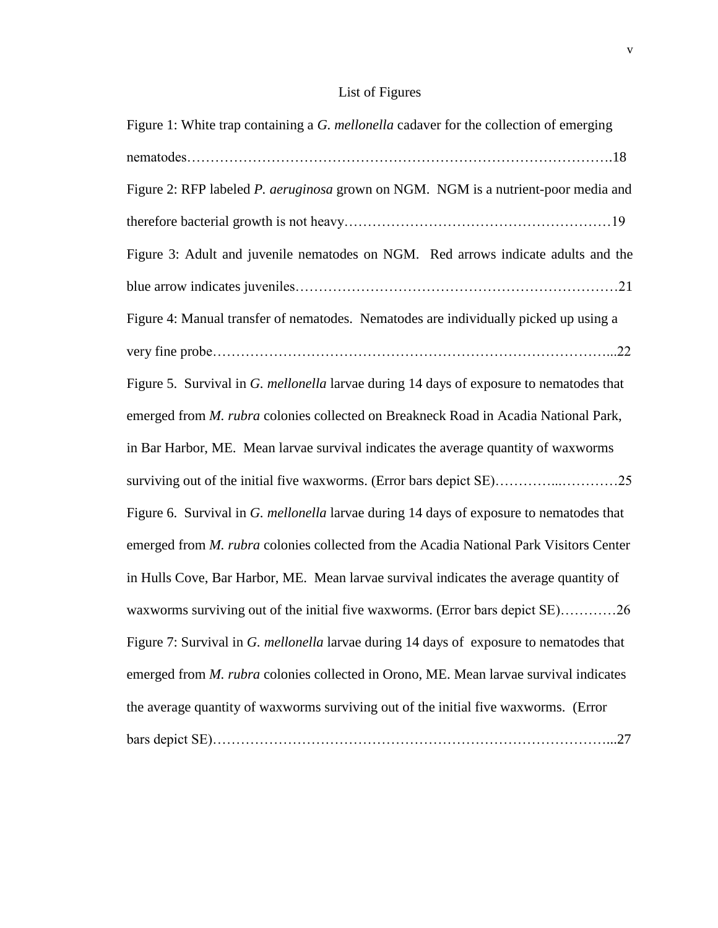## List of Figures

| Figure 1: White trap containing a G. mellonella cadaver for the collection of emerging  |
|-----------------------------------------------------------------------------------------|
|                                                                                         |
| Figure 2: RFP labeled P. aeruginosa grown on NGM. NGM is a nutrient-poor media and      |
|                                                                                         |
| Figure 3: Adult and juvenile nematodes on NGM. Red arrows indicate adults and the       |
|                                                                                         |
| Figure 4: Manual transfer of nematodes. Nematodes are individually picked up using a    |
|                                                                                         |
| Figure 5. Survival in G. mellonella larvae during 14 days of exposure to nematodes that |
| emerged from M. rubra colonies collected on Breakneck Road in Acadia National Park,     |
| in Bar Harbor, ME. Mean larvae survival indicates the average quantity of waxworms      |
|                                                                                         |
| Figure 6. Survival in G. mellonella larvae during 14 days of exposure to nematodes that |
| emerged from M. rubra colonies collected from the Acadia National Park Visitors Center  |
| in Hulls Cove, Bar Harbor, ME. Mean larvae survival indicates the average quantity of   |
| waxworms surviving out of the initial five waxworms. (Error bars depict SE)26           |
| Figure 7: Survival in G. mellonella larvae during 14 days of exposure to nematodes that |
| emerged from M. rubra colonies collected in Orono, ME. Mean larvae survival indicates   |
| the average quantity of waxworms surviving out of the initial five waxworms. (Error     |
|                                                                                         |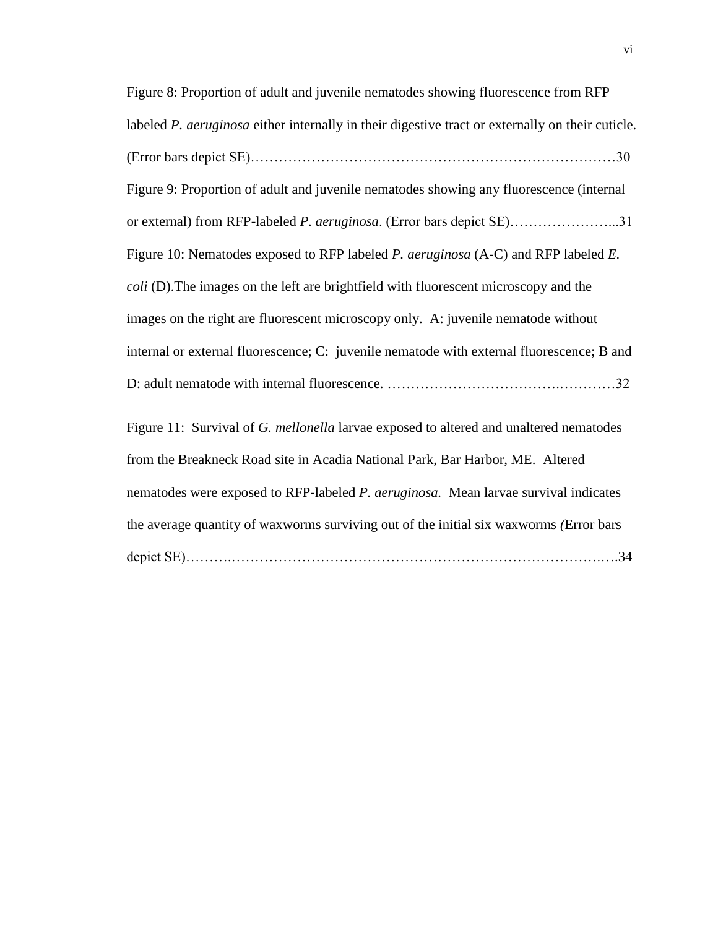| Figure 8: Proportion of adult and juvenile nematodes showing fluorescence from RFP               |
|--------------------------------------------------------------------------------------------------|
| labeled P. aeruginosa either internally in their digestive tract or externally on their cuticle. |
|                                                                                                  |
| Figure 9: Proportion of adult and juvenile nematodes showing any fluorescence (internal          |
| or external) from RFP-labeled P. aeruginosa. (Error bars depict SE)31                            |
| Figure 10: Nematodes exposed to RFP labeled P. aeruginosa (A-C) and RFP labeled E.               |
| coli (D). The images on the left are brightfield with fluorescent microscopy and the             |
| images on the right are fluorescent microscopy only. A: juvenile nematode without                |
| internal or external fluorescence; C: juvenile nematode with external fluorescence; B and        |
|                                                                                                  |
| Figure 11: Survival of G. mellonella larvae exposed to altered and unaltered nematodes           |
| from the Breakneck Road site in Acadia National Park, Bar Harbor, ME. Altered                    |
| nematodes were exposed to RFP-labeled P. aeruginosa. Mean larvae survival indicates              |
| the average quantity of waxworms surviving out of the initial six waxworms (Error bars           |
|                                                                                                  |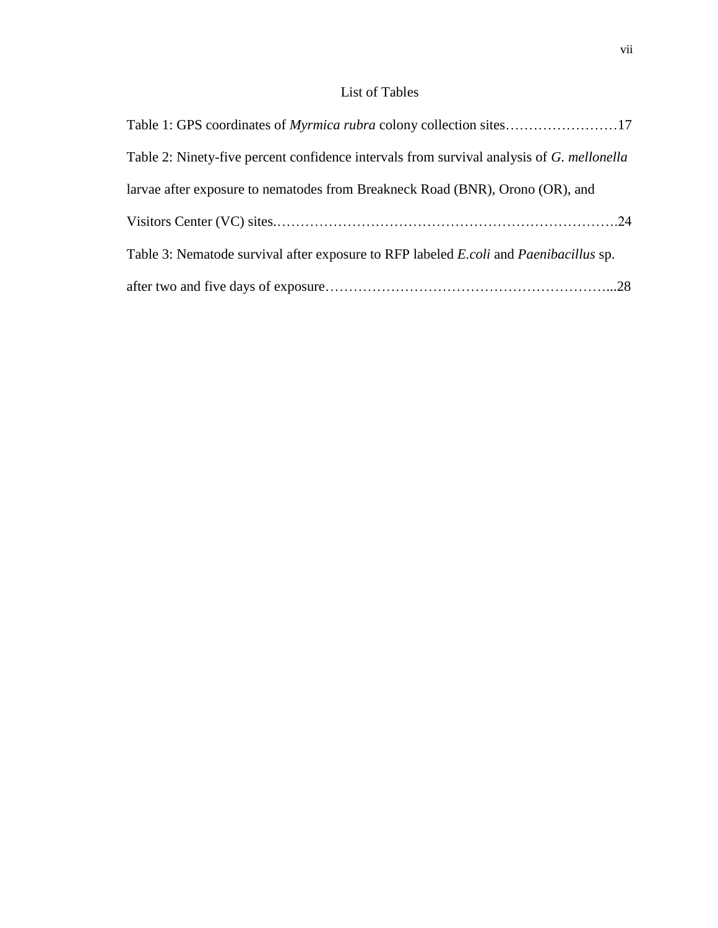## List of Tables

| Table 1: GPS coordinates of <i>Myrmica rubra</i> colony collection sites17                          |  |
|-----------------------------------------------------------------------------------------------------|--|
| Table 2: Ninety-five percent confidence intervals from survival analysis of G. mellonella           |  |
| larvae after exposure to nematodes from Breakneck Road (BNR), Orono (OR), and                       |  |
|                                                                                                     |  |
| Table 3: Nematode survival after exposure to RFP labeled <i>E.coli</i> and <i>Paenibacillus</i> sp. |  |
|                                                                                                     |  |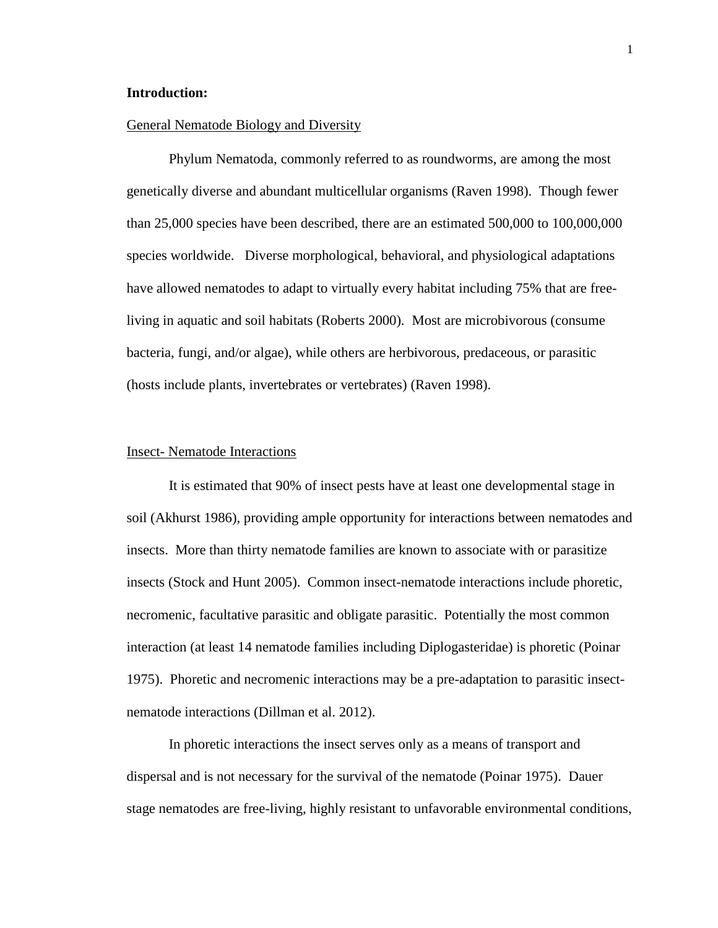#### **Introduction:**

#### General Nematode Biology and Diversity

Phylum Nematoda, commonly referred to as roundworms, are among the most genetically diverse and abundant multicellular organisms (Raven 1998). Though fewer than 25,000 species have been described, there are an estimated 500,000 to 100,000,000 species worldwide. Diverse morphological, behavioral, and physiological adaptations have allowed nematodes to adapt to virtually every habitat including 75% that are freeliving in aquatic and soil habitats (Roberts 2000)*.* Most are microbivorous (consume bacteria, fungi, and/or algae), while others are herbivorous, predaceous, or parasitic (hosts include plants, invertebrates or vertebrates) (Raven 1998).

#### Insect- Nematode Interactions

It is estimated that 90% of insect pests have at least one developmental stage in soil (Akhurst 1986), providing ample opportunity for interactions between nematodes and insects. More than thirty nematode families are known to associate with or parasitize insects (Stock and Hunt 2005). Common insect-nematode interactions include phoretic, necromenic, facultative parasitic and obligate parasitic. Potentially the most common interaction (at least 14 nematode families including Diplogasteridae) is phoretic (Poinar 1975). Phoretic and necromenic interactions may be a pre-adaptation to parasitic insectnematode interactions (Dillman et al. 2012).

In phoretic interactions the insect serves only as a means of transport and dispersal and is not necessary for the survival of the nematode (Poinar 1975). Dauer stage nematodes are free-living, highly resistant to unfavorable environmental conditions,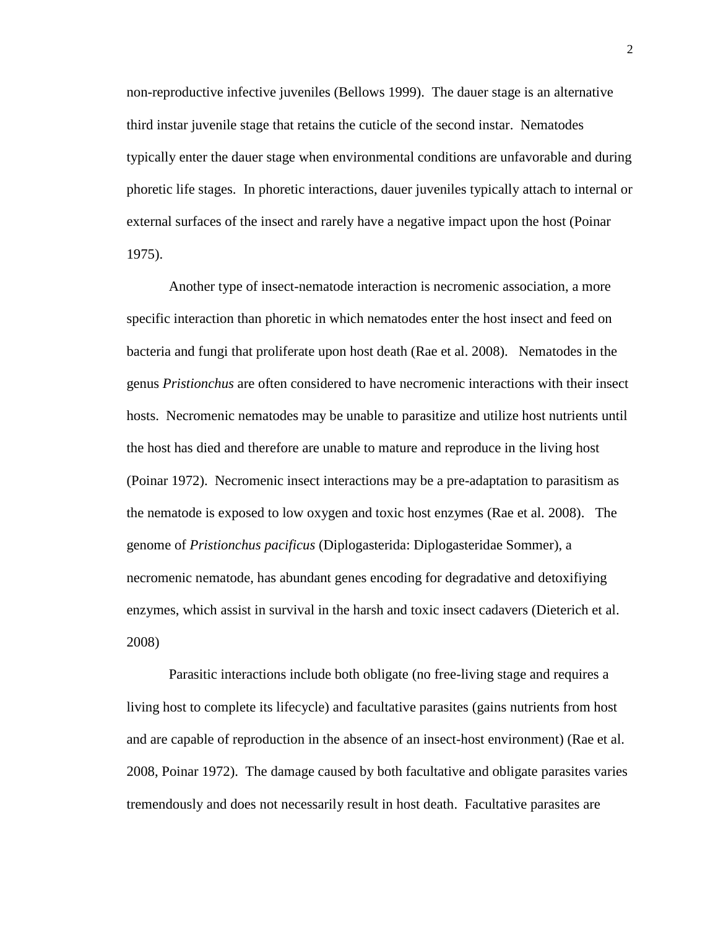non-reproductive infective juveniles (Bellows 1999). The dauer stage is an alternative third instar juvenile stage that retains the cuticle of the second instar. Nematodes typically enter the dauer stage when environmental conditions are unfavorable and during phoretic life stages. In phoretic interactions, dauer juveniles typically attach to internal or external surfaces of the insect and rarely have a negative impact upon the host (Poinar 1975).

Another type of insect-nematode interaction is necromenic association, a more specific interaction than phoretic in which nematodes enter the host insect and feed on bacteria and fungi that proliferate upon host death (Rae et al. 2008). Nematodes in the genus *Pristionchus* are often considered to have necromenic interactions with their insect hosts. Necromenic nematodes may be unable to parasitize and utilize host nutrients until the host has died and therefore are unable to mature and reproduce in the living host (Poinar 1972). Necromenic insect interactions may be a pre-adaptation to parasitism as the nematode is exposed to low oxygen and toxic host enzymes (Rae et al. 2008). The genome of *Pristionchus pacificus* (Diplogasterida: Diplogasteridae Sommer), a necromenic nematode, has abundant genes encoding for degradative and detoxifiying enzymes, which assist in survival in the harsh and toxic insect cadavers (Dieterich et al. 2008)

Parasitic interactions include both obligate (no free-living stage and requires a living host to complete its lifecycle) and facultative parasites (gains nutrients from host and are capable of reproduction in the absence of an insect-host environment) (Rae et al. 2008, Poinar 1972). The damage caused by both facultative and obligate parasites varies tremendously and does not necessarily result in host death. Facultative parasites are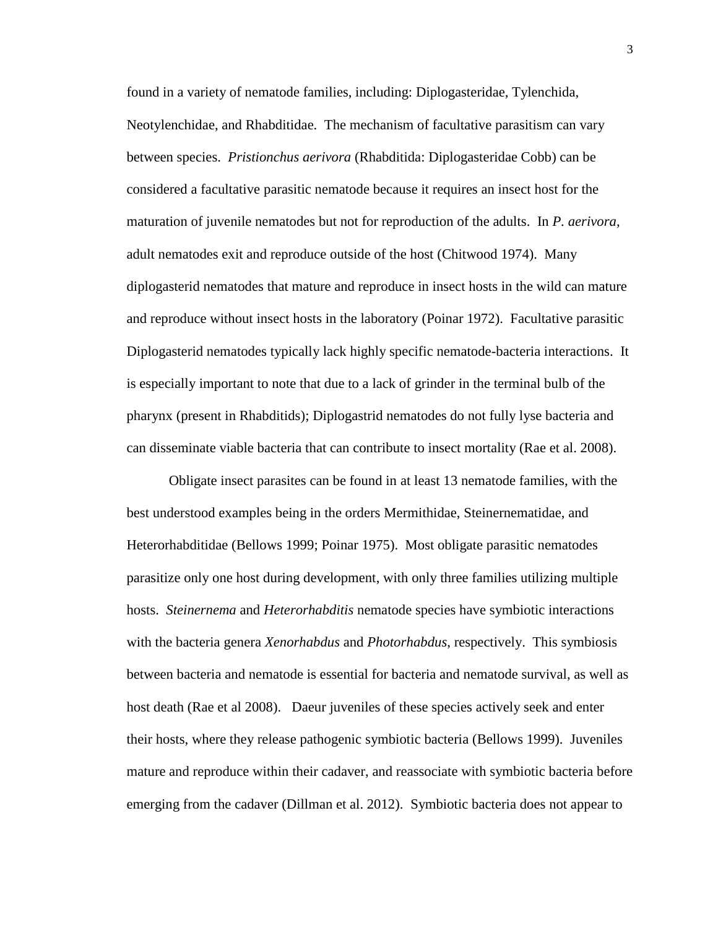found in a variety of nematode families, including: Diplogasteridae, Tylenchida, Neotylenchidae, and Rhabditidae. The mechanism of facultative parasitism can vary between species. *Pristionchus aerivora* (Rhabditida: Diplogasteridae Cobb) can be considered a facultative parasitic nematode because it requires an insect host for the maturation of juvenile nematodes but not for reproduction of the adults. In *P. aerivora*, adult nematodes exit and reproduce outside of the host (Chitwood 1974). Many diplogasterid nematodes that mature and reproduce in insect hosts in the wild can mature and reproduce without insect hosts in the laboratory (Poinar 1972). Facultative parasitic Diplogasterid nematodes typically lack highly specific nematode-bacteria interactions. It is especially important to note that due to a lack of grinder in the terminal bulb of the pharynx (present in Rhabditids); Diplogastrid nematodes do not fully lyse bacteria and can disseminate viable bacteria that can contribute to insect mortality (Rae et al. 2008).

Obligate insect parasites can be found in at least 13 nematode families, with the best understood examples being in the orders Mermithidae, Steinernematidae, and Heterorhabditidae (Bellows 1999; Poinar 1975). Most obligate parasitic nematodes parasitize only one host during development, with only three families utilizing multiple hosts. *Steinernema* and *Heterorhabditis* nematode species have symbiotic interactions with the bacteria genera *Xenorhabdus* and *Photorhabdus*, respectively. This symbiosis between bacteria and nematode is essential for bacteria and nematode survival, as well as host death (Rae et al 2008). Daeur juveniles of these species actively seek and enter their hosts, where they release pathogenic symbiotic bacteria (Bellows 1999). Juveniles mature and reproduce within their cadaver, and reassociate with symbiotic bacteria before emerging from the cadaver (Dillman et al. 2012). Symbiotic bacteria does not appear to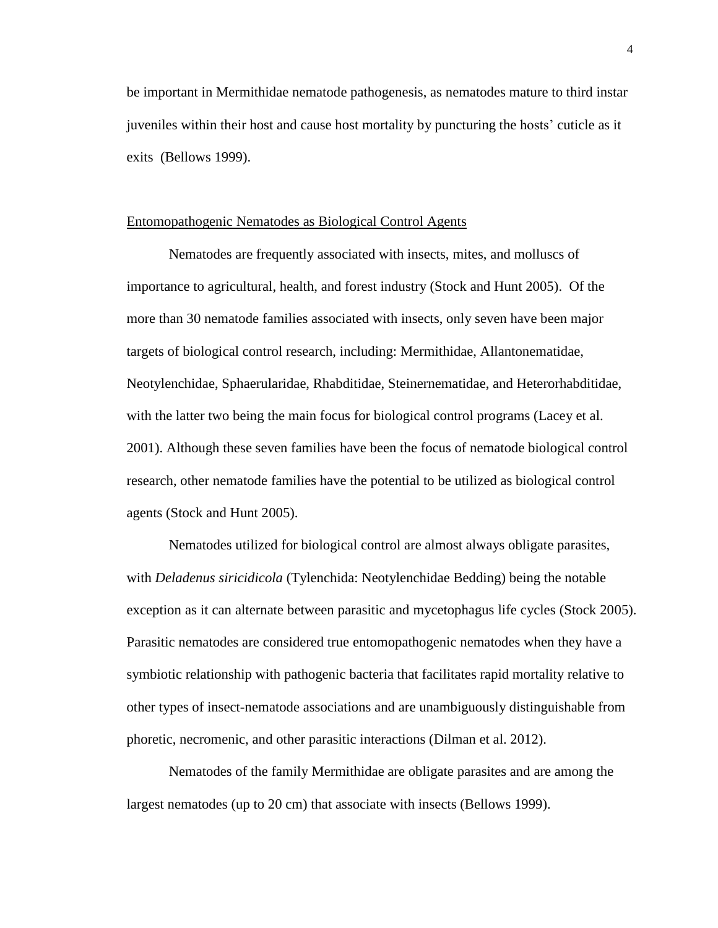be important in Mermithidae nematode pathogenesis, as nematodes mature to third instar juveniles within their host and cause host mortality by puncturing the hosts' cuticle as it exits (Bellows 1999).

#### Entomopathogenic Nematodes as Biological Control Agents

Nematodes are frequently associated with insects, mites, and molluscs of importance to agricultural, health, and forest industry (Stock and Hunt 2005). Of the more than 30 nematode families associated with insects, only seven have been major targets of biological control research, including: Mermithidae, Allantonematidae, Neotylenchidae, Sphaerularidae, Rhabditidae, Steinernematidae, and Heterorhabditidae, with the latter two being the main focus for biological control programs (Lacey et al. 2001). Although these seven families have been the focus of nematode biological control research, other nematode families have the potential to be utilized as biological control agents (Stock and Hunt 2005).

Nematodes utilized for biological control are almost always obligate parasites, with *Deladenus siricidicola* (Tylenchida: Neotylenchidae Bedding) being the notable exception as it can alternate between parasitic and mycetophagus life cycles (Stock 2005). Parasitic nematodes are considered true entomopathogenic nematodes when they have a symbiotic relationship with pathogenic bacteria that facilitates rapid mortality relative to other types of insect-nematode associations and are unambiguously distinguishable from phoretic, necromenic, and other parasitic interactions (Dilman et al. 2012).

Nematodes of the family Mermithidae are obligate parasites and are among the largest nematodes (up to 20 cm) that associate with insects (Bellows 1999).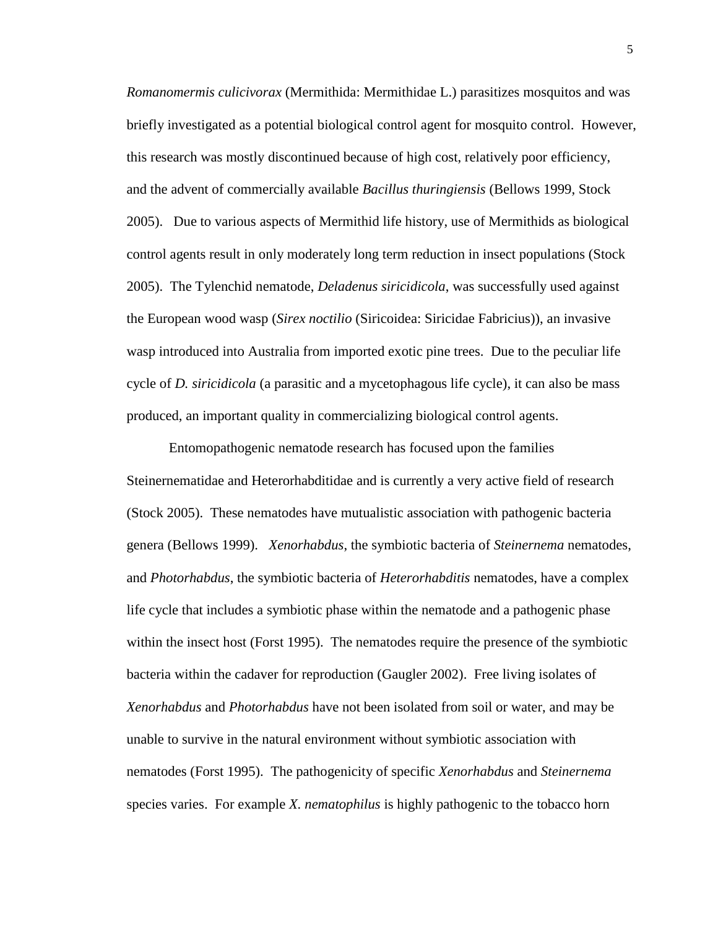*Romanomermis culicivorax* (Mermithida: Mermithidae L.) parasitizes mosquitos and was briefly investigated as a potential biological control agent for mosquito control. However, this research was mostly discontinued because of high cost, relatively poor efficiency, and the advent of commercially available *Bacillus thuringiensis* (Bellows 1999, Stock 2005). Due to various aspects of Mermithid life history, use of Mermithids as biological control agents result in only moderately long term reduction in insect populations (Stock 2005). The Tylenchid nematode, *Deladenus siricidicola*, was successfully used against the European wood wasp (*Sirex noctilio* (Siricoidea: Siricidae Fabricius)), an invasive wasp introduced into Australia from imported exotic pine trees. Due to the peculiar life cycle of *D. siricidicola* (a parasitic and a mycetophagous life cycle), it can also be mass produced, an important quality in commercializing biological control agents.

Entomopathogenic nematode research has focused upon the families Steinernematidae and Heterorhabditidae and is currently a very active field of research (Stock 2005). These nematodes have mutualistic association with pathogenic bacteria genera (Bellows 1999). *Xenorhabdus*, the symbiotic bacteria of *Steinernema* nematodes, and *Photorhabdus*, the symbiotic bacteria of *Heterorhabditis* nematodes, have a complex life cycle that includes a symbiotic phase within the nematode and a pathogenic phase within the insect host (Forst 1995). The nematodes require the presence of the symbiotic bacteria within the cadaver for reproduction (Gaugler 2002). Free living isolates of *Xenorhabdus* and *Photorhabdus* have not been isolated from soil or water, and may be unable to survive in the natural environment without symbiotic association with nematodes (Forst 1995). The pathogenicity of specific *Xenorhabdus* and *Steinernema*  species varies. For example *X. nematophilus* is highly pathogenic to the tobacco horn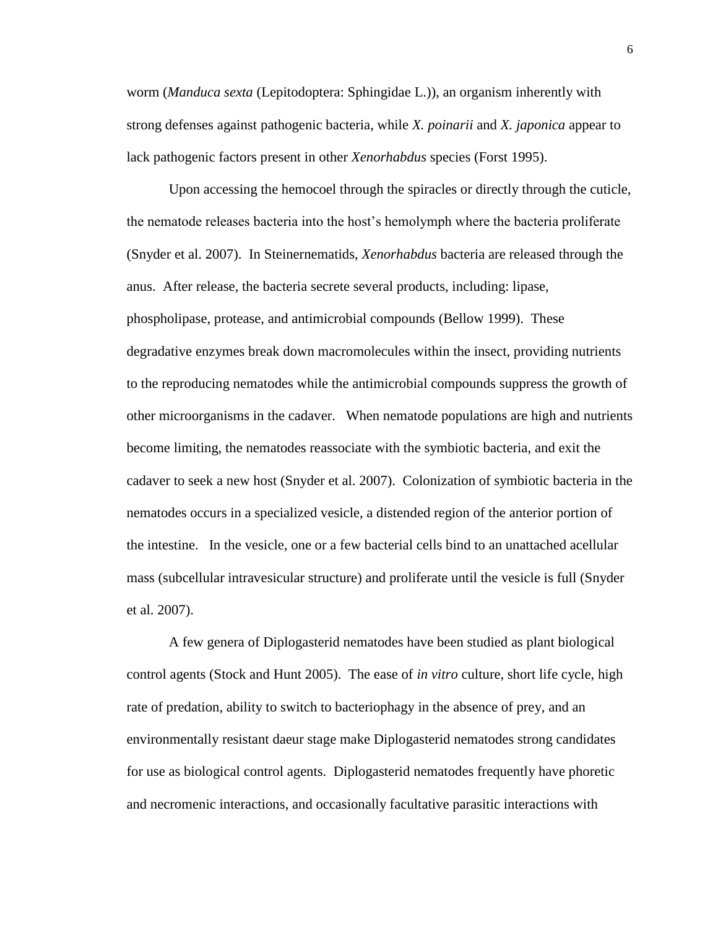worm (*Manduca sexta* (Lepitodoptera: Sphingidae L.)), an organism inherently with strong defenses against pathogenic bacteria, while *X. poinarii* and *X. japonica* appear to lack pathogenic factors present in other *Xenorhabdus* species (Forst 1995).

Upon accessing the hemocoel through the spiracles or directly through the cuticle, the nematode releases bacteria into the host's hemolymph where the bacteria proliferate (Snyder et al. 2007). In Steinernematids, *Xenorhabdus* bacteria are released through the anus. After release, the bacteria secrete several products, including: lipase, phospholipase, protease, and antimicrobial compounds (Bellow 1999). These degradative enzymes break down macromolecules within the insect, providing nutrients to the reproducing nematodes while the antimicrobial compounds suppress the growth of other microorganisms in the cadaver. When nematode populations are high and nutrients become limiting, the nematodes reassociate with the symbiotic bacteria, and exit the cadaver to seek a new host (Snyder et al. 2007). Colonization of symbiotic bacteria in the nematodes occurs in a specialized vesicle, a distended region of the anterior portion of the intestine. In the vesicle, one or a few bacterial cells bind to an unattached acellular mass (subcellular intravesicular structure) and proliferate until the vesicle is full (Snyder et al. 2007).

A few genera of Diplogasterid nematodes have been studied as plant biological control agents (Stock and Hunt 2005). The ease of *in vitro* culture, short life cycle, high rate of predation, ability to switch to bacteriophagy in the absence of prey, and an environmentally resistant daeur stage make Diplogasterid nematodes strong candidates for use as biological control agents. Diplogasterid nematodes frequently have phoretic and necromenic interactions, and occasionally facultative parasitic interactions with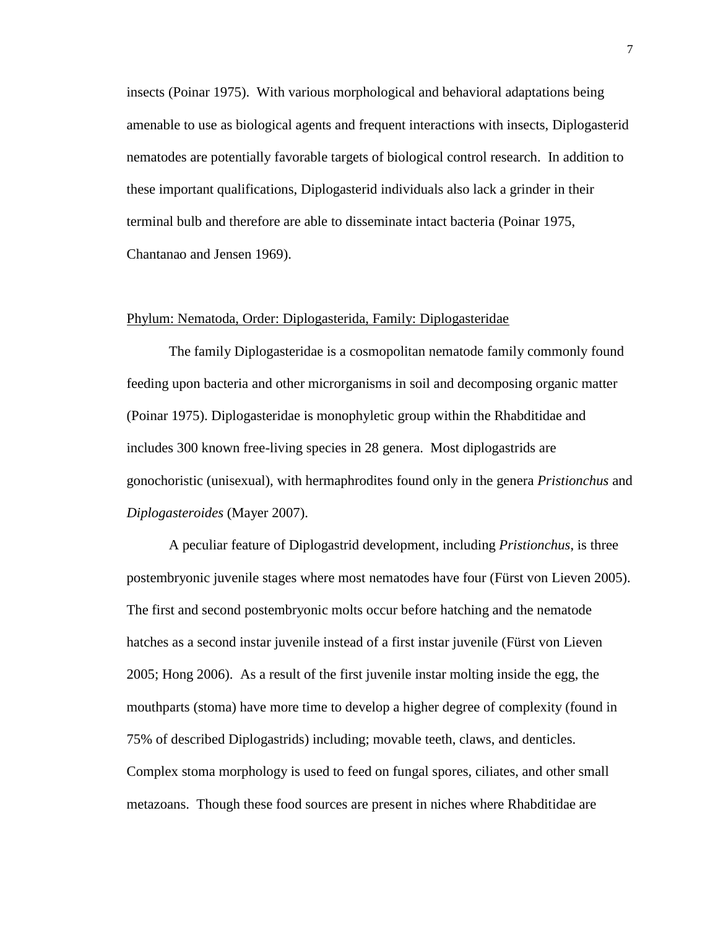insects (Poinar 1975). With various morphological and behavioral adaptations being amenable to use as biological agents and frequent interactions with insects, Diplogasterid nematodes are potentially favorable targets of biological control research. In addition to these important qualifications, Diplogasterid individuals also lack a grinder in their terminal bulb and therefore are able to disseminate intact bacteria (Poinar 1975, Chantanao and Jensen 1969).

#### Phylum: Nematoda, Order: Diplogasterida, Family: Diplogasteridae

The family Diplogasteridae is a cosmopolitan nematode family commonly found feeding upon bacteria and other microrganisms in soil and decomposing organic matter (Poinar 1975). Diplogasteridae is monophyletic group within the Rhabditidae and includes 300 known free-living species in 28 genera. Most diplogastrids are gonochoristic (unisexual), with hermaphrodites found only in the genera *Pristionchus* and *Diplogasteroides* (Mayer 2007).

A peculiar feature of Diplogastrid development, including *Pristionchus*, is three postembryonic juvenile stages where most nematodes have four (Fürst von Lieven 2005). The first and second postembryonic molts occur before hatching and the nematode hatches as a second instar juvenile instead of a first instar juvenile (Fürst von Lieven 2005; Hong 2006). As a result of the first juvenile instar molting inside the egg, the mouthparts (stoma) have more time to develop a higher degree of complexity (found in 75% of described Diplogastrids) including; movable teeth, claws, and denticles. Complex stoma morphology is used to feed on fungal spores, ciliates, and other small metazoans. Though these food sources are present in niches where Rhabditidae are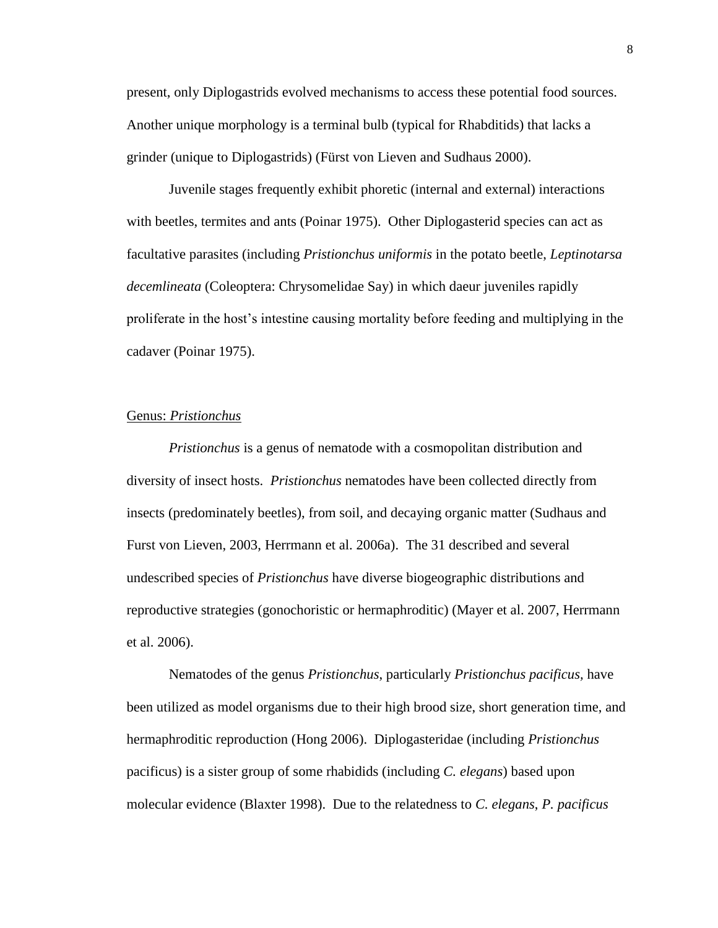present, only Diplogastrids evolved mechanisms to access these potential food sources. Another unique morphology is a terminal bulb (typical for Rhabditids) that lacks a grinder (unique to Diplogastrids) (Fürst von Lieven and Sudhaus 2000).

Juvenile stages frequently exhibit phoretic (internal and external) interactions with beetles, termites and ants (Poinar 1975). Other Diplogasterid species can act as facultative parasites (including *Pristionchus uniformis* in the potato beetle, *Leptinotarsa decemlineata* (Coleoptera: Chrysomelidae Say) in which daeur juveniles rapidly proliferate in the host's intestine causing mortality before feeding and multiplying in the cadaver (Poinar 1975).

#### Genus: *Pristionchus*

*Pristionchus* is a genus of nematode with a cosmopolitan distribution and diversity of insect hosts. *Pristionchus* nematodes have been collected directly from insects (predominately beetles), from soil, and decaying organic matter (Sudhaus and Furst von Lieven, 2003, Herrmann et al. 2006a). The 31 described and several undescribed species of *Pristionchus* have diverse biogeographic distributions and reproductive strategies (gonochoristic or hermaphroditic) (Mayer et al. 2007, Herrmann et al. 2006).

Nematodes of the genus *Pristionchus*, particularly *Pristionchus pacificus,* have been utilized as model organisms due to their high brood size, short generation time, and hermaphroditic reproduction (Hong 2006). Diplogasteridae (including *Pristionchus*  pacificus) is a sister group of some rhabidids (including *C. elegans*) based upon molecular evidence (Blaxter 1998). Due to the relatedness to *C. elegans*, *P. pacificus*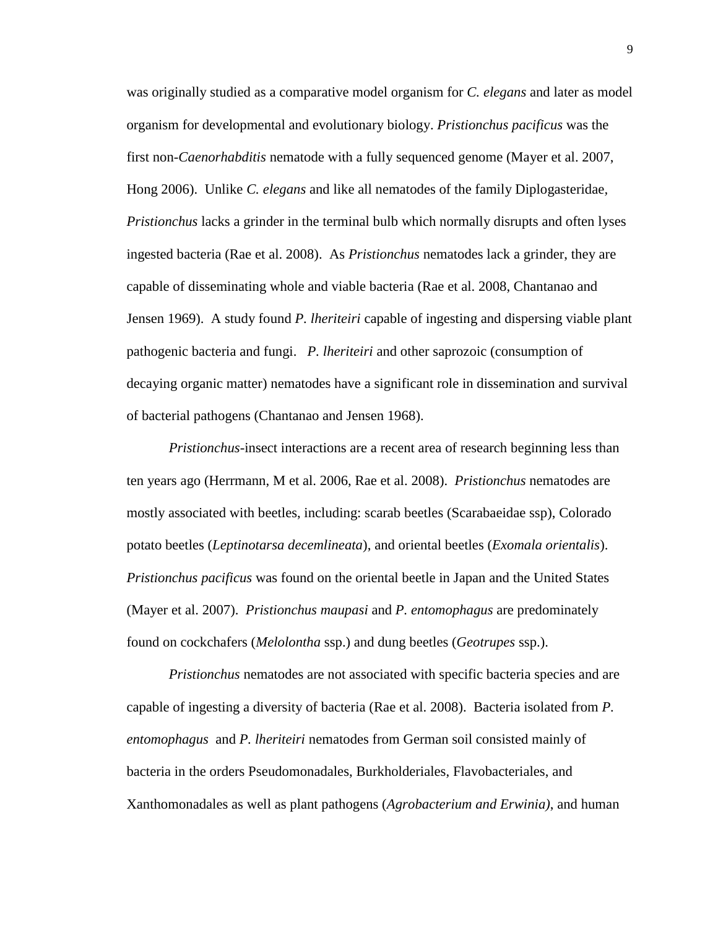was originally studied as a comparative model organism for *C. elegans* and later as model organism for developmental and evolutionary biology. *Pristionchus pacificus* was the first non-*Caenorhabditis* nematode with a fully sequenced genome (Mayer et al. 2007, Hong 2006). Unlike *C. elegans* and like all nematodes of the family Diplogasteridae*, Pristionchus* lacks a grinder in the terminal bulb which normally disrupts and often lyses ingested bacteria (Rae et al. 2008). As *Pristionchus* nematodes lack a grinder, they are capable of disseminating whole and viable bacteria (Rae et al. 2008, Chantanao and Jensen 1969). A study found *P. lheriteiri* capable of ingesting and dispersing viable plant pathogenic bacteria and fungi. *P. lheriteiri* and other saprozoic (consumption of decaying organic matter) nematodes have a significant role in dissemination and survival of bacterial pathogens (Chantanao and Jensen 1968).

*Pristionchus*-insect interactions are a recent area of research beginning less than ten years ago (Herrmann, M et al. 2006, Rae et al. 2008). *Pristionchus* nematodes are mostly associated with beetles, including: scarab beetles (Scarabaeidae ssp), Colorado potato beetles (*Leptinotarsa decemlineata*), and oriental beetles (*Exomala orientalis*). *Pristionchus pacificus* was found on the oriental beetle in Japan and the United States (Mayer et al. 2007). *Pristionchus maupasi* and *P. entomophagus* are predominately found on cockchafers (*Melolontha* ssp.) and dung beetles (*Geotrupes* ssp.).

*Pristionchus* nematodes are not associated with specific bacteria species and are capable of ingesting a diversity of bacteria (Rae et al. 2008). Bacteria isolated from *P. entomophagus* and *P. lheriteiri* nematodes from German soil consisted mainly of bacteria in the orders Pseudomonadales, Burkholderiales, Flavobacteriales, and Xanthomonadales as well as plant pathogens (*Agrobacterium and Erwinia)*, and human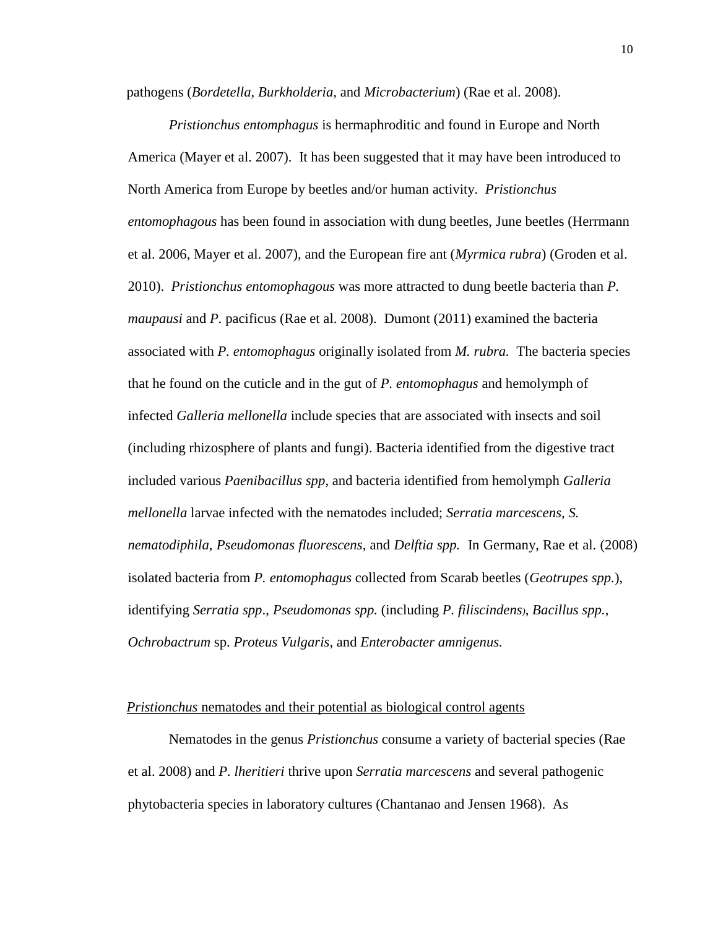pathogens (*Bordetella, Burkholderia,* and *Microbacterium*) (Rae et al. 2008).

*Pristionchus entomphagus* is hermaphroditic and found in Europe and North America (Mayer et al. 2007). It has been suggested that it may have been introduced to North America from Europe by beetles and/or human activity. *Pristionchus entomophagous* has been found in association with dung beetles, June beetles (Herrmann et al. 2006, Mayer et al. 2007), and the European fire ant (*Myrmica rubra*) (Groden et al. 2010). *Pristionchus entomophagous* was more attracted to dung beetle bacteria than *P. maupausi* and *P.* pacificus (Rae et al. 2008). Dumont (2011) examined the bacteria associated with *P. entomophagus* originally isolated from *M. rubra.* The bacteria species that he found on the cuticle and in the gut of *P. entomophagus* and hemolymph of infected *Galleria mellonella* include species that are associated with insects and soil (including rhizosphere of plants and fungi). Bacteria identified from the digestive tract included various *Paenibacillus spp*, and bacteria identified from hemolymph *Galleria mellonella* larvae infected with the nematodes included; *Serratia marcescens, S. nematodiphila*, *Pseudomonas fluorescens*, and *Delftia spp.* In Germany, Rae et al. (2008) isolated bacteria from *P. entomophagus* collected from Scarab beetles (*Geotrupes spp.*), identifying *Serratia spp*., *Pseudomonas spp.* (including *P. filiscindens)*, *Bacillus spp.*, *Ochrobactrum* sp. *Proteus Vulgaris*, and *Enterobacter amnigenus.*

#### *Pristionchus* nematodes and their potential as biological control agents

Nematodes in the genus *Pristionchus* consume a variety of bacterial species (Rae et al. 2008) and *P. lheritieri* thrive upon *Serratia marcescens* and several pathogenic phytobacteria species in laboratory cultures (Chantanao and Jensen 1968). As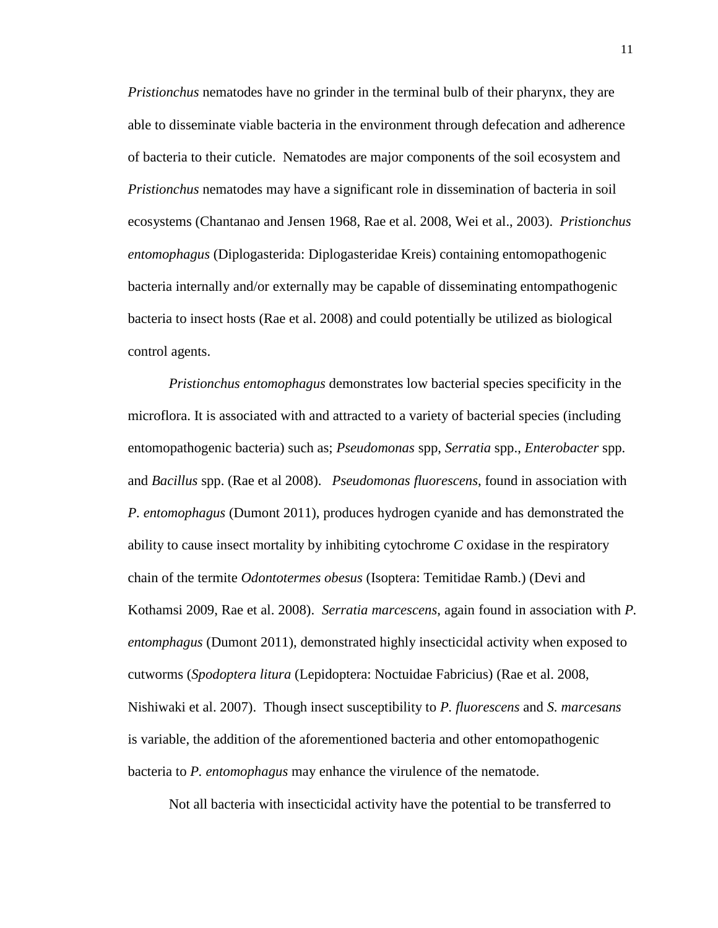*Pristionchus* nematodes have no grinder in the terminal bulb of their pharynx, they are able to disseminate viable bacteria in the environment through defecation and adherence of bacteria to their cuticle. Nematodes are major components of the soil ecosystem and *Pristionchus* nematodes may have a significant role in dissemination of bacteria in soil ecosystems (Chantanao and Jensen 1968, Rae et al. 2008, Wei et al., 2003). *Pristionchus entomophagus* [\(Diplogasterida:](http://de.wikipedia.org/w/index.php?title=Diplogasterida&action=edit&redlink=1) Diplogasteridae Kreis) containing entomopathogenic bacteria internally and/or externally may be capable of disseminating entompathogenic bacteria to insect hosts (Rae et al. 2008) and could potentially be utilized as biological control agents.

*Pristionchus entomophagus* demonstrates low bacterial species specificity in the microflora. It is associated with and attracted to a variety of bacterial species (including entomopathogenic bacteria) such as; *Pseudomonas* spp, *Serratia* spp., *Enterobacter* spp. and *Bacillus* spp. (Rae et al 2008). *Pseudomonas fluorescens*, found in association with *P. entomophagus* (Dumont 2011), produces hydrogen cyanide and has demonstrated the ability to cause insect mortality by inhibiting cytochrome *C* oxidase in the respiratory chain of the termite *Odontotermes obesus* (Isoptera: Temitidae Ramb.) (Devi and Kothamsi 2009, Rae et al. 2008). *Serratia marcescens*, again found in association with *P. entomphagus* (Dumont 2011), demonstrated highly insecticidal activity when exposed to cutworms (*Spodoptera litura* (Lepidoptera: Noctuidae Fabricius) (Rae et al. 2008, Nishiwaki et al. 2007). Though insect susceptibility to *P. fluorescens* and *S. marcesans* is variable, the addition of the aforementioned bacteria and other entomopathogenic bacteria to *P. entomophagus* may enhance the virulence of the nematode.

Not all bacteria with insecticidal activity have the potential to be transferred to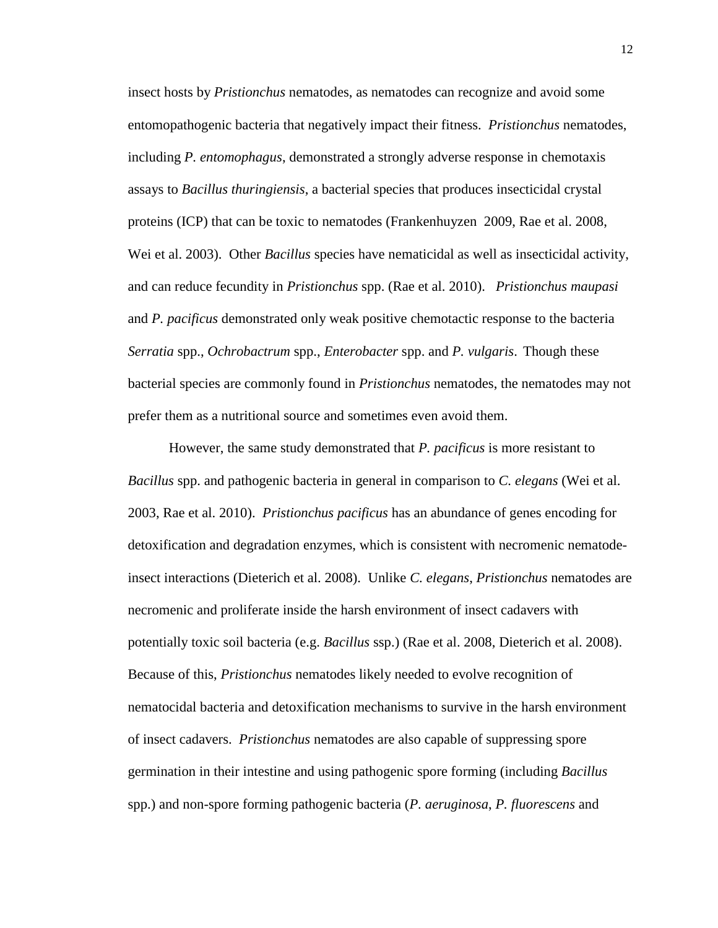insect hosts by *Pristionchus* nematodes, as nematodes can recognize and avoid some entomopathogenic bacteria that negatively impact their fitness. *Pristionchus* nematodes, including *P. entomophagus*, demonstrated a strongly adverse response in chemotaxis assays to *Bacillus thuringiensis*, a bacterial species that produces insecticidal crystal proteins (ICP) that can be toxic to nematodes (Frankenhuyzen 2009, Rae et al. 2008, Wei et al. 2003). Other *Bacillus* species have nematicidal as well as insecticidal activity, and can reduce fecundity in *Pristionchus* spp. (Rae et al. 2010). *Pristionchus maupasi*  and *P. pacificus* demonstrated only weak positive chemotactic response to the bacteria *Serratia* spp., *Ochrobactrum* spp., *Enterobacter* spp. and *P. vulgaris*. Though these bacterial species are commonly found in *Pristionchus* nematodes, the nematodes may not prefer them as a nutritional source and sometimes even avoid them.

However, the same study demonstrated that *P. pacificus* is more resistant to *Bacillus* spp. and pathogenic bacteria in general in comparison to *C. elegans* (Wei et al. 2003, Rae et al. 2010). *Pristionchus pacificus* has an abundance of genes encoding for detoxification and degradation enzymes, which is consistent with necromenic nematodeinsect interactions (Dieterich et al. 2008). Unlike *C. elegans*, *Pristionchus* nematodes are necromenic and proliferate inside the harsh environment of insect cadavers with potentially toxic soil bacteria (e.g. *Bacillus* ssp.) (Rae et al. 2008, Dieterich et al. 2008). Because of this, *Pristionchus* nematodes likely needed to evolve recognition of nematocidal bacteria and detoxification mechanisms to survive in the harsh environment of insect cadavers. *Pristionchus* nematodes are also capable of suppressing spore germination in their intestine and using pathogenic spore forming (including *Bacillus*  spp.) and non-spore forming pathogenic bacteria (*P. aeruginosa*, *P. fluorescens* and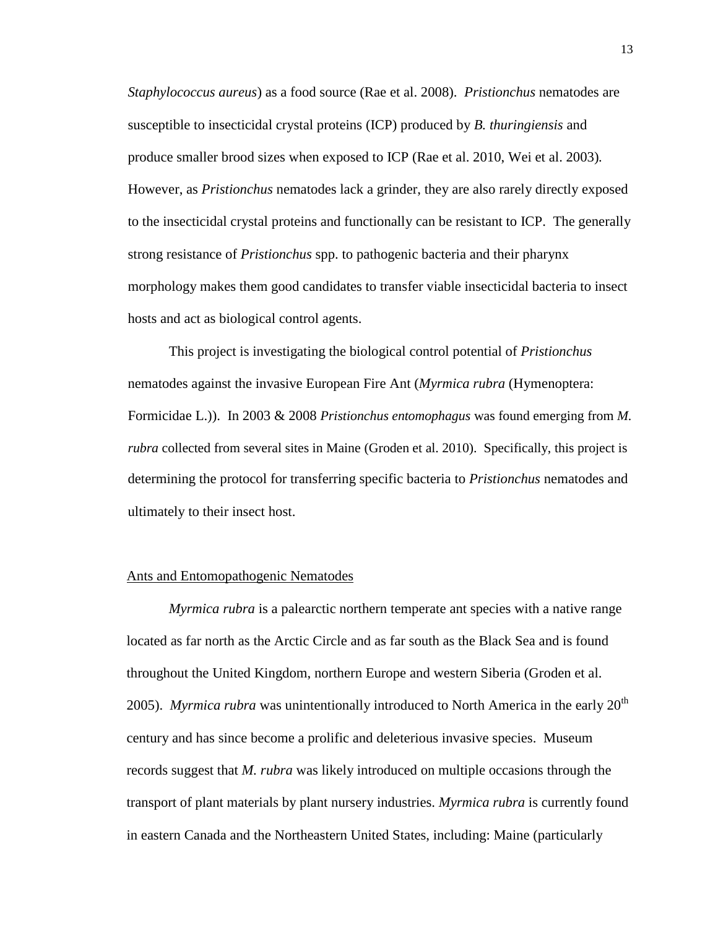*Staphylococcus aureus*) as a food source (Rae et al. 2008). *Pristionchus* nematodes are susceptible to insecticidal crystal proteins (ICP) produced by *B. thuringiensis* and produce smaller brood sizes when exposed to ICP (Rae et al. 2010, Wei et al. 2003)*.*  However, as *Pristionchus* nematodes lack a grinder, they are also rarely directly exposed to the insecticidal crystal proteins and functionally can be resistant to ICP. The generally strong resistance of *Pristionchus* spp. to pathogenic bacteria and their pharynx morphology makes them good candidates to transfer viable insecticidal bacteria to insect hosts and act as biological control agents.

This project is investigating the biological control potential of *Pristionchus* nematodes against the invasive European Fire Ant (*Myrmica rubra* (Hymenoptera: Formicidae L.)). In 2003 & 2008 *Pristionchus entomophagus* was found emerging from *M. rubra* collected from several sites in Maine (Groden et al. 2010). Specifically, this project is determining the protocol for transferring specific bacteria to *Pristionchus* nematodes and ultimately to their insect host.

#### Ants and Entomopathogenic Nematodes

*Myrmica rubra* is a palearctic northern temperate ant species with a native range located as far north as the Arctic Circle and as far south as the Black Sea and is found throughout the United Kingdom, northern Europe and western Siberia (Groden et al. 2005). *Myrmica rubra* was unintentionally introduced to North America in the early 20<sup>th</sup> century and has since become a prolific and deleterious invasive species. Museum records suggest that *M. rubra* was likely introduced on multiple occasions through the transport of plant materials by plant nursery industries. *Myrmica rubra* is currently found in eastern Canada and the Northeastern United States, including: Maine (particularly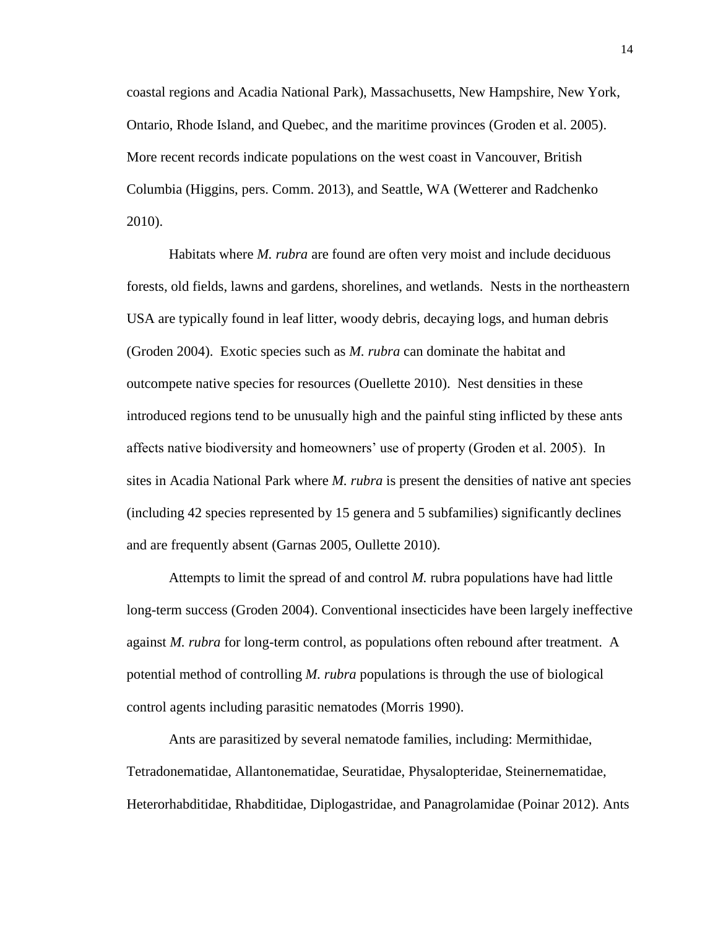coastal regions and Acadia National Park), Massachusetts, New Hampshire, New York, Ontario, Rhode Island, and Quebec, and the maritime provinces (Groden et al. 2005). More recent records indicate populations on the west coast in Vancouver, British Columbia (Higgins, pers. Comm. 2013), and Seattle, WA (Wetterer and Radchenko 2010).

Habitats where *M. rubra* are found are often very moist and include deciduous forests, old fields, lawns and gardens, shorelines, and wetlands. Nests in the northeastern USA are typically found in leaf litter, woody debris, decaying logs, and human debris (Groden 2004). Exotic species such as *M. rubra* can dominate the habitat and outcompete native species for resources (Ouellette 2010). Nest densities in these introduced regions tend to be unusually high and the painful sting inflicted by these ants affects native biodiversity and homeowners' use of property (Groden et al. 2005). In sites in Acadia National Park where *M. rubra* is present the densities of native ant species (including 42 species represented by 15 genera and 5 subfamilies) significantly declines and are frequently absent (Garnas 2005, Oullette 2010).

Attempts to limit the spread of and control *M.* rubra populations have had little long-term success (Groden 2004). Conventional insecticides have been largely ineffective against *M. rubra* for long-term control, as populations often rebound after treatment. A potential method of controlling *M. rubra* populations is through the use of biological control agents including parasitic nematodes (Morris 1990).

Ants are parasitized by several nematode families, including: Mermithidae, Tetradonematidae, Allantonematidae, Seuratidae, Physalopteridae, Steinernematidae, Heterorhabditidae, Rhabditidae, Diplogastridae, and Panagrolamidae (Poinar 2012). Ants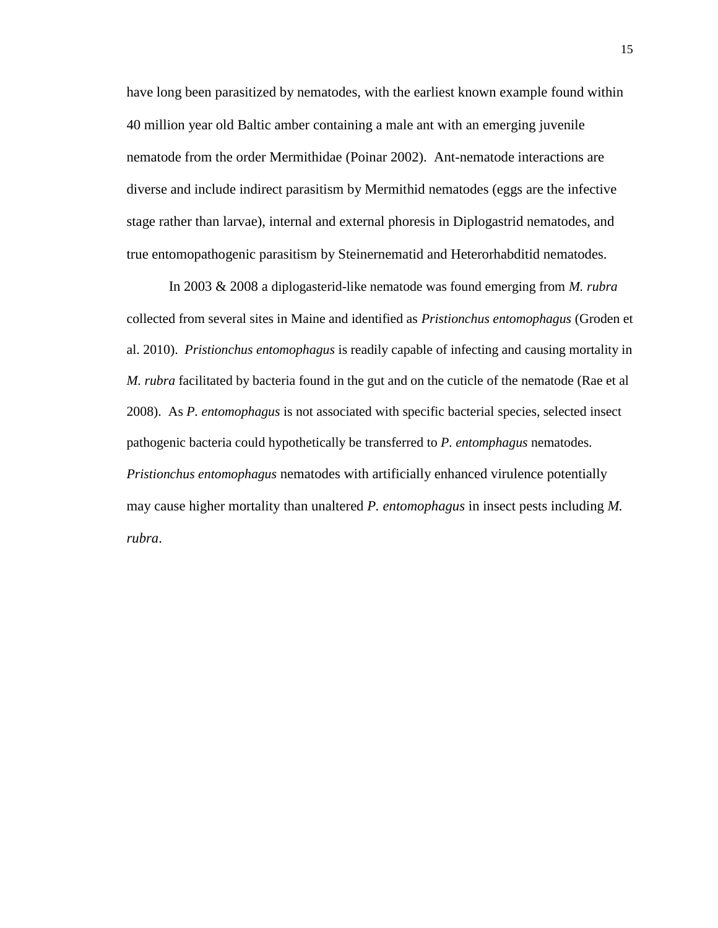have long been parasitized by nematodes, with the earliest known example found within 40 million year old Baltic amber containing a male ant with an emerging juvenile nematode from the order Mermithidae (Poinar 2002). Ant-nematode interactions are diverse and include indirect parasitism by Mermithid nematodes (eggs are the infective stage rather than larvae), internal and external phoresis in Diplogastrid nematodes, and true entomopathogenic parasitism by Steinernematid and Heterorhabditid nematodes.

In 2003 & 2008 a diplogasterid-like nematode was found emerging from *M. rubra* collected from several sites in Maine and identified as *Pristionchus entomophagus* (Groden et al. 2010). *Pristionchus entomophagus* is readily capable of infecting and causing mortality in *M. rubra* facilitated by bacteria found in the gut and on the cuticle of the nematode (Rae et al 2008). As *P. entomophagus* is not associated with specific bacterial species, selected insect pathogenic bacteria could hypothetically be transferred to *P. entomphagus* nematodes. *Pristionchus entomophagus* nematodes with artificially enhanced virulence potentially may cause higher mortality than unaltered *P. entomophagus* in insect pests including *M. rubra*.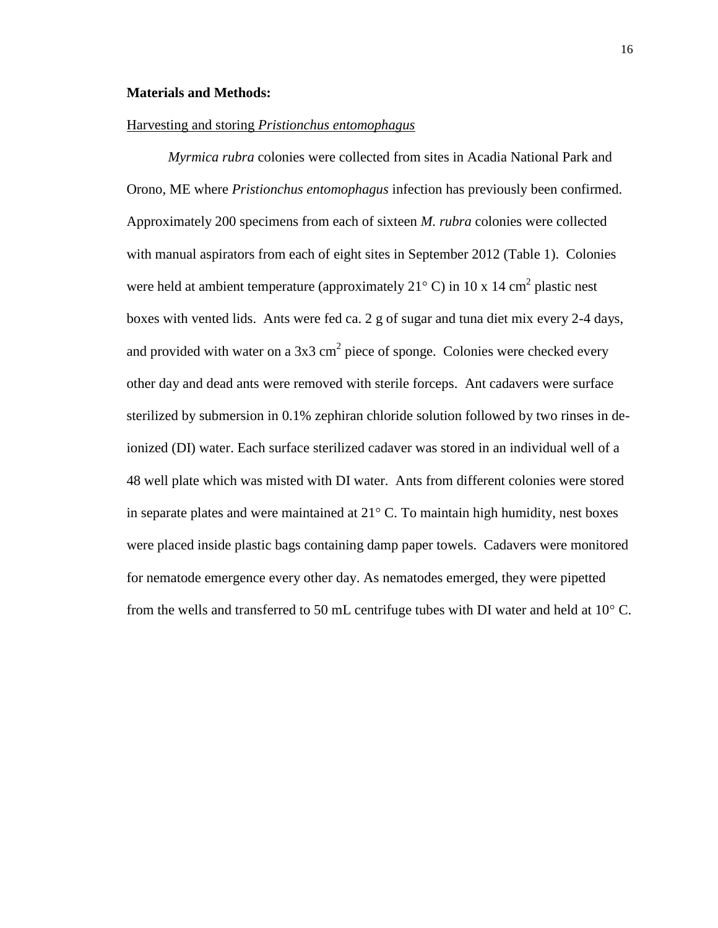#### **Materials and Methods:**

#### Harvesting and storing *Pristionchus entomophagus*

*Myrmica rubra* colonies were collected from sites in Acadia National Park and Orono, ME where *Pristionchus entomophagus* infection has previously been confirmed. Approximately 200 specimens from each of sixteen *M. rubra* colonies were collected with manual aspirators from each of eight sites in September 2012 (Table 1). Colonies were held at ambient temperature (approximately  $21^{\circ}$  C) in 10 x 14 cm<sup>2</sup> plastic nest boxes with vented lids. Ants were fed ca. 2 g of sugar and tuna diet mix every 2-4 days, and provided with water on a  $3x3$  cm<sup>2</sup> piece of sponge. Colonies were checked every other day and dead ants were removed with sterile forceps. Ant cadavers were surface sterilized by submersion in 0.1% zephiran chloride solution followed by two rinses in deionized (DI) water. Each surface sterilized cadaver was stored in an individual well of a 48 well plate which was misted with DI water. Ants from different colonies were stored in separate plates and were maintained at  $21^{\circ}$  C. To maintain high humidity, nest boxes were placed inside plastic bags containing damp paper towels. Cadavers were monitored for nematode emergence every other day. As nematodes emerged, they were pipetted from the wells and transferred to 50 mL centrifuge tubes with DI water and held at  $10^{\circ}$  C.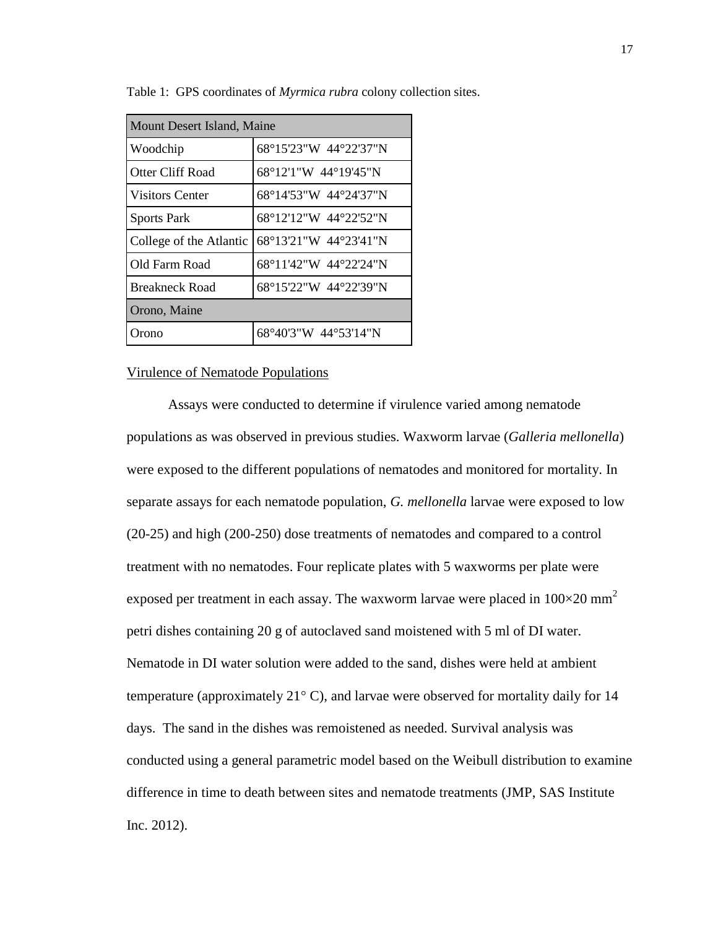| Mount Desert Island, Maine |                       |  |
|----------------------------|-----------------------|--|
| Woodchip                   | 68°15'23"W 44°22'37"N |  |
| Otter Cliff Road           | 68°12'1"W 44°19'45"N  |  |
| <b>Visitors Center</b>     | 68°14'53"W 44°24'37"N |  |
| <b>Sports Park</b>         | 68°12'12"W 44°22'52"N |  |
| College of the Atlantic    | 68°13'21"W 44°23'41"N |  |
| Old Farm Road              | 68°11'42"W 44°22'24"N |  |
| <b>Breakneck Road</b>      | 68°15'22"W 44°22'39"N |  |
| Orono, Maine               |                       |  |
| Orono                      | 68°40'3"W 44°53'14"N  |  |

Table 1: GPS coordinates of *Myrmica rubra* colony collection sites.

#### Virulence of Nematode Populations

Assays were conducted to determine if virulence varied among nematode populations as was observed in previous studies. Waxworm larvae (*Galleria mellonella*) were exposed to the different populations of nematodes and monitored for mortality. In separate assays for each nematode population, *G. mellonella* larvae were exposed to low (20-25) and high (200-250) dose treatments of nematodes and compared to a control treatment with no nematodes. Four replicate plates with 5 waxworms per plate were exposed per treatment in each assay. The waxworm larvae were placed in  $100\times20$  mm<sup>2</sup> petri dishes containing 20 g of autoclaved sand moistened with 5 ml of DI water. Nematode in DI water solution were added to the sand, dishes were held at ambient temperature (approximately  $21^{\circ}$  C), and larvae were observed for mortality daily for 14 days. The sand in the dishes was remoistened as needed. Survival analysis was conducted using a general parametric model based on the Weibull distribution to examine difference in time to death between sites and nematode treatments (JMP, SAS Institute Inc. 2012).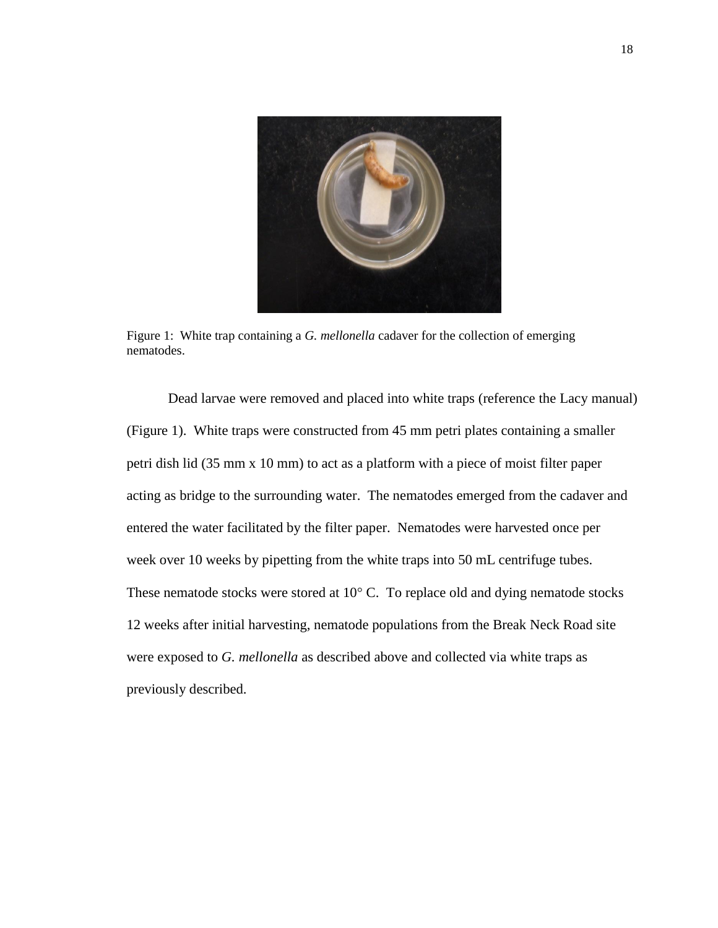

Figure 1: White trap containing a *G. mellonella* cadaver for the collection of emerging nematodes.

Dead larvae were removed and placed into white traps (reference the Lacy manual) (Figure 1). White traps were constructed from 45 mm petri plates containing a smaller petri dish lid (35 mm x 10 mm) to act as a platform with a piece of moist filter paper acting as bridge to the surrounding water. The nematodes emerged from the cadaver and entered the water facilitated by the filter paper. Nematodes were harvested once per week over 10 weeks by pipetting from the white traps into 50 mL centrifuge tubes. These nematode stocks were stored at 10 $^{\circ}$  C. To replace old and dying nematode stocks 12 weeks after initial harvesting, nematode populations from the Break Neck Road site were exposed to *G. mellonella* as described above and collected via white traps as previously described.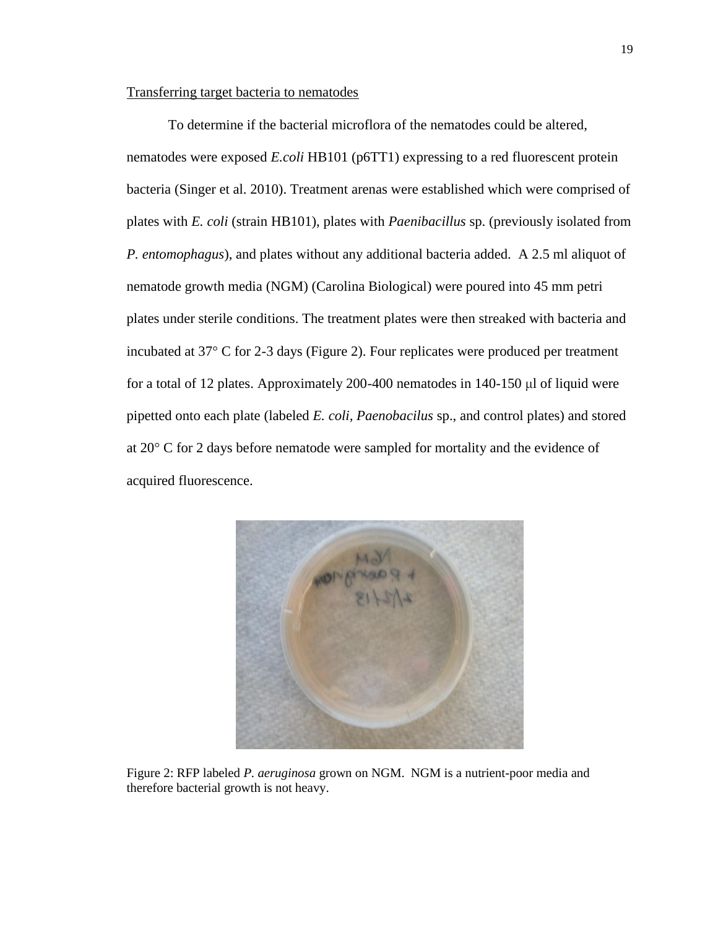#### Transferring target bacteria to nematodes

To determine if the bacterial microflora of the nematodes could be altered, nematodes were exposed *E.coli* HB101 (p6TT1) expressing to a red fluorescent protein bacteria (Singer et al. 2010). Treatment arenas were established which were comprised of plates with *E. coli* (strain HB101), plates with *Paenibacillus* sp. (previously isolated from *P. entomophagus*), and plates without any additional bacteria added. A 2.5 ml aliquot of nematode growth media (NGM) (Carolina Biological) were poured into 45 mm petri plates under sterile conditions. The treatment plates were then streaked with bacteria and incubated at 37° C for 2-3 days (Figure 2). Four replicates were produced per treatment for a total of 12 plates. Approximately 200-400 nematodes in 140-150 μl of liquid were pipetted onto each plate (labeled *E. coli, Paenobacilus* sp., and control plates) and stored at 20° C for 2 days before nematode were sampled for mortality and the evidence of acquired fluorescence.



Figure 2: RFP labeled *P. aeruginosa* grown on NGM. NGM is a nutrient-poor media and therefore bacterial growth is not heavy.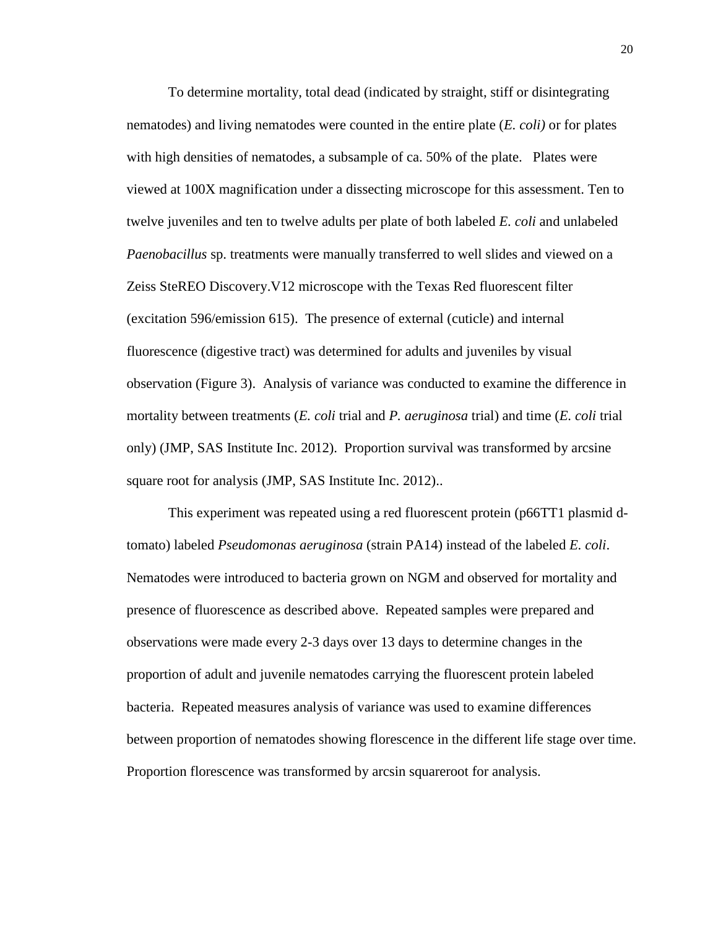To determine mortality, total dead (indicated by straight, stiff or disintegrating nematodes) and living nematodes were counted in the entire plate (*E. coli)* or for plates with high densities of nematodes, a subsample of ca. 50% of the plate. Plates were viewed at 100X magnification under a dissecting microscope for this assessment. Ten to twelve juveniles and ten to twelve adults per plate of both labeled *E. coli* and unlabeled *Paenobacillus* sp. treatments were manually transferred to well slides and viewed on a Zeiss SteREO Discovery.V12 microscope with the Texas Red fluorescent filter (excitation 596/emission 615). The presence of external (cuticle) and internal fluorescence (digestive tract) was determined for adults and juveniles by visual observation (Figure 3). Analysis of variance was conducted to examine the difference in mortality between treatments (*E. coli* trial and *P. aeruginosa* trial) and time (*E. coli* trial only) (JMP, SAS Institute Inc. 2012). Proportion survival was transformed by arcsine square root for analysis (JMP, SAS Institute Inc. 2012)...

This experiment was repeated using a red fluorescent protein (p66TT1 plasmid dtomato) labeled *Pseudomonas aeruginosa* (strain PA14) instead of the labeled *E. coli*. Nematodes were introduced to bacteria grown on NGM and observed for mortality and presence of fluorescence as described above. Repeated samples were prepared and observations were made every 2-3 days over 13 days to determine changes in the proportion of adult and juvenile nematodes carrying the fluorescent protein labeled bacteria. Repeated measures analysis of variance was used to examine differences between proportion of nematodes showing florescence in the different life stage over time. Proportion florescence was transformed by arcsin squareroot for analysis.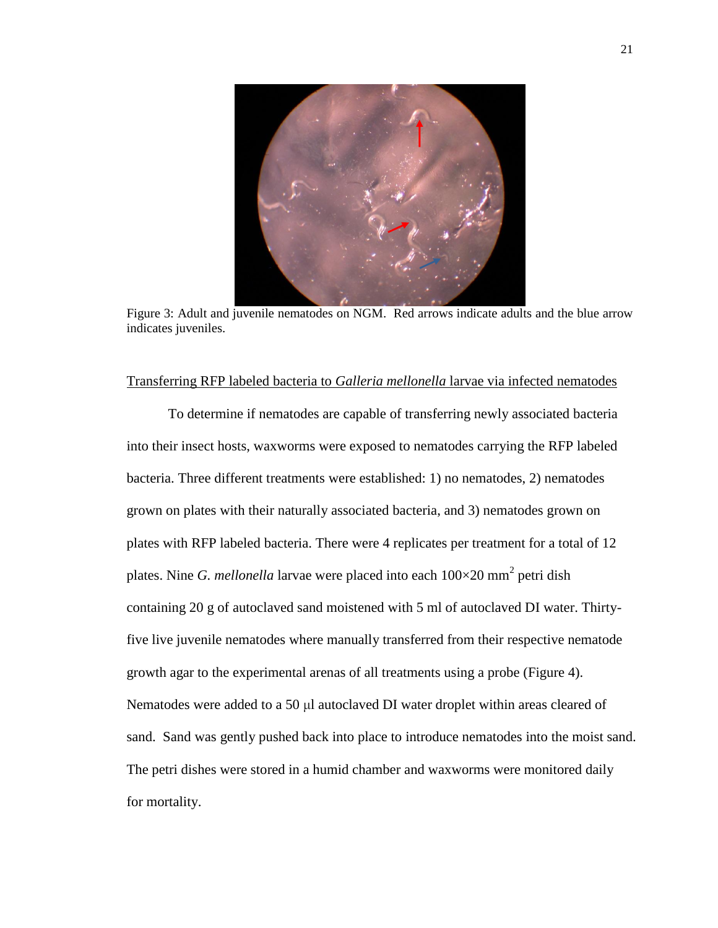

Figure 3: Adult and juvenile nematodes on NGM. Red arrows indicate adults and the blue arrow indicates juveniles.

#### Transferring RFP labeled bacteria to *Galleria mellonella* larvae via infected nematodes

To determine if nematodes are capable of transferring newly associated bacteria into their insect hosts, waxworms were exposed to nematodes carrying the RFP labeled bacteria. Three different treatments were established: 1) no nematodes, 2) nematodes grown on plates with their naturally associated bacteria, and 3) nematodes grown on plates with RFP labeled bacteria. There were 4 replicates per treatment for a total of 12 plates. Nine *G. mellonella* larvae were placed into each  $100\times20$  mm<sup>2</sup> petri dish containing 20 g of autoclaved sand moistened with 5 ml of autoclaved DI water. Thirtyfive live juvenile nematodes where manually transferred from their respective nematode growth agar to the experimental arenas of all treatments using a probe (Figure 4). Nematodes were added to a 50 μl autoclaved DI water droplet within areas cleared of sand. Sand was gently pushed back into place to introduce nematodes into the moist sand. The petri dishes were stored in a humid chamber and waxworms were monitored daily for mortality.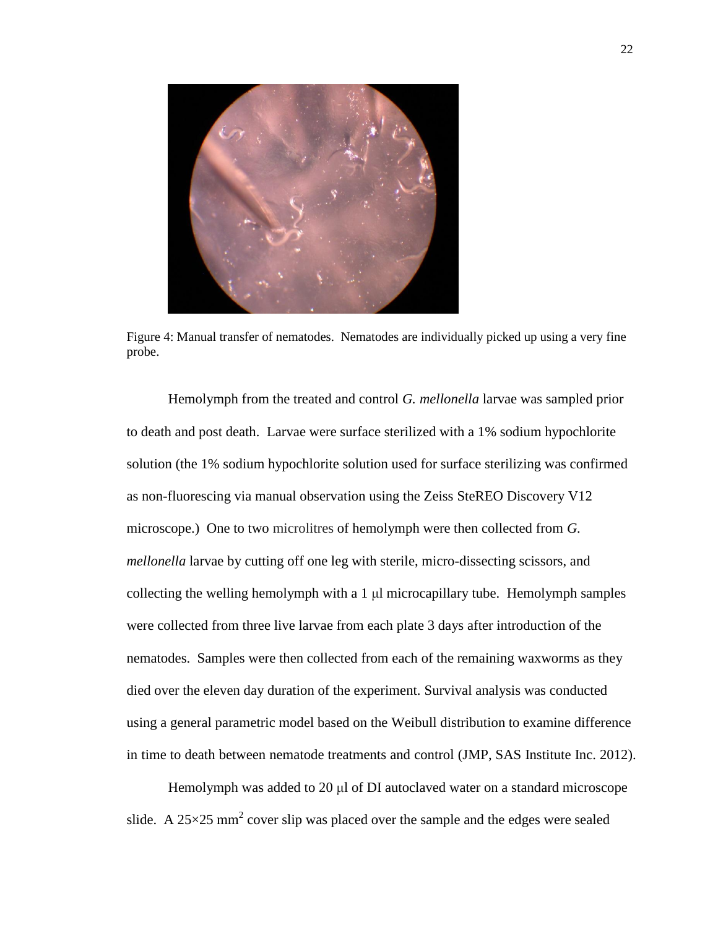

Figure 4: Manual transfer of nematodes. Nematodes are individually picked up using a very fine probe.

Hemolymph from the treated and control *G. mellonella* larvae was sampled prior to death and post death. Larvae were surface sterilized with a 1% sodium hypochlorite solution (the 1% sodium hypochlorite solution used for surface sterilizing was confirmed as non-fluorescing via manual observation using the Zeiss SteREO Discovery V12 microscope.) One to two microlitres of hemolymph were then collected from *G. mellonella* larvae by cutting off one leg with sterile, micro-dissecting scissors, and collecting the welling hemolymph with a 1 μl microcapillary tube. Hemolymph samples were collected from three live larvae from each plate 3 days after introduction of the nematodes. Samples were then collected from each of the remaining waxworms as they died over the eleven day duration of the experiment. Survival analysis was conducted using a general parametric model based on the Weibull distribution to examine difference in time to death between nematode treatments and control (JMP, SAS Institute Inc. 2012).

Hemolymph was added to 20 μl of DI autoclaved water on a standard microscope slide. A  $25 \times 25$  mm<sup>2</sup> cover slip was placed over the sample and the edges were sealed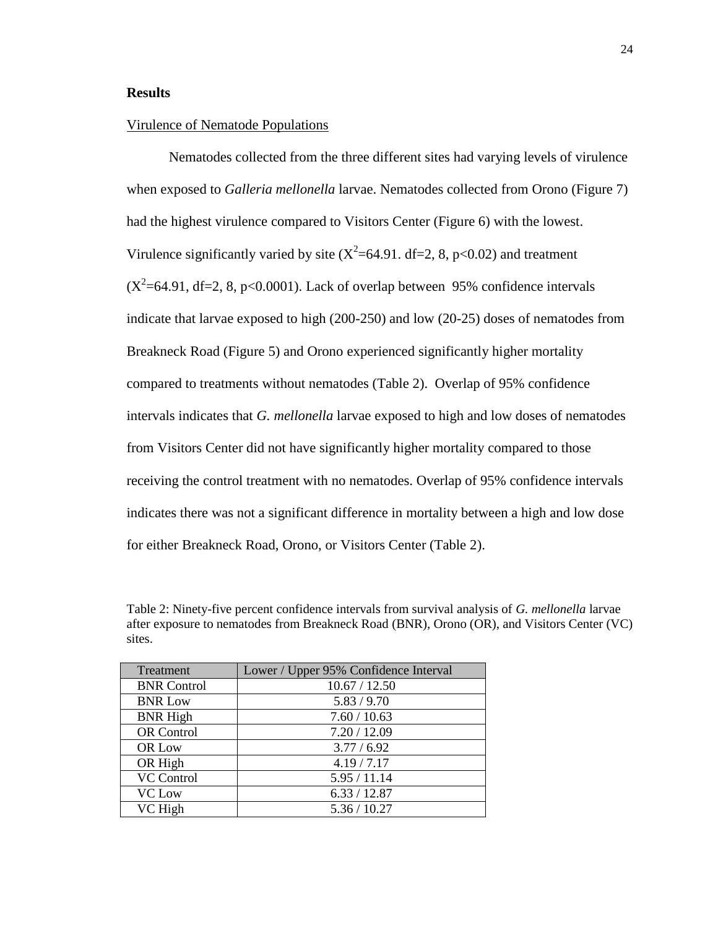#### **Results**

#### Virulence of Nematode Populations

Nematodes collected from the three different sites had varying levels of virulence when exposed to *Galleria mellonella* larvae. Nematodes collected from Orono (Figure 7) had the highest virulence compared to Visitors Center (Figure 6) with the lowest. Virulence significantly varied by site  $(X^2=64.91$ . df=2, 8, p<0.02) and treatment  $(X^2=64.91, df=2, 8, p<0.0001)$ . Lack of overlap between 95% confidence intervals indicate that larvae exposed to high (200-250) and low (20-25) doses of nematodes from Breakneck Road (Figure 5) and Orono experienced significantly higher mortality compared to treatments without nematodes (Table 2). Overlap of 95% confidence intervals indicates that *G. mellonella* larvae exposed to high and low doses of nematodes from Visitors Center did not have significantly higher mortality compared to those receiving the control treatment with no nematodes. Overlap of 95% confidence intervals indicates there was not a significant difference in mortality between a high and low dose for either Breakneck Road, Orono, or Visitors Center (Table 2).

Table 2: Ninety-five percent confidence intervals from survival analysis of *G. mellonella* larvae after exposure to nematodes from Breakneck Road (BNR), Orono (OR), and Visitors Center (VC) sites.

| Treatment          | Lower / Upper 95% Confidence Interval |
|--------------------|---------------------------------------|
| <b>BNR</b> Control | 10.67 / 12.50                         |
| <b>BNR Low</b>     | 5.83 / 9.70                           |
| <b>BNR High</b>    | 7.60 / 10.63                          |
| <b>OR</b> Control  | 7.20 / 12.09                          |
| OR Low             | 3.77 / 6.92                           |
| OR High            | 4.19 / 7.17                           |
| <b>VC</b> Control  | 5.95/11.14                            |
| <b>VC</b> Low      | 6.33 / 12.87                          |
| VC High            | 5.36 / 10.27                          |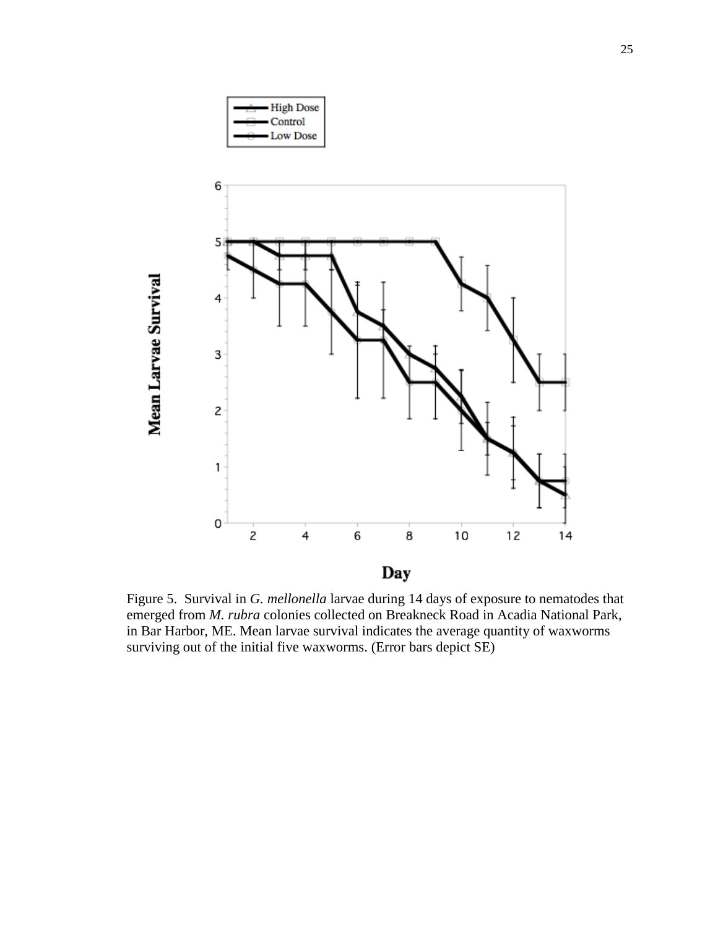

Figure 5. Survival in *G. mellonella* larvae during 14 days of exposure to nematodes that emerged from *M. rubra* colonies collected on Breakneck Road in Acadia National Park, in Bar Harbor, ME. Mean larvae survival indicates the average quantity of waxworms surviving out of the initial five waxworms. (Error bars depict SE)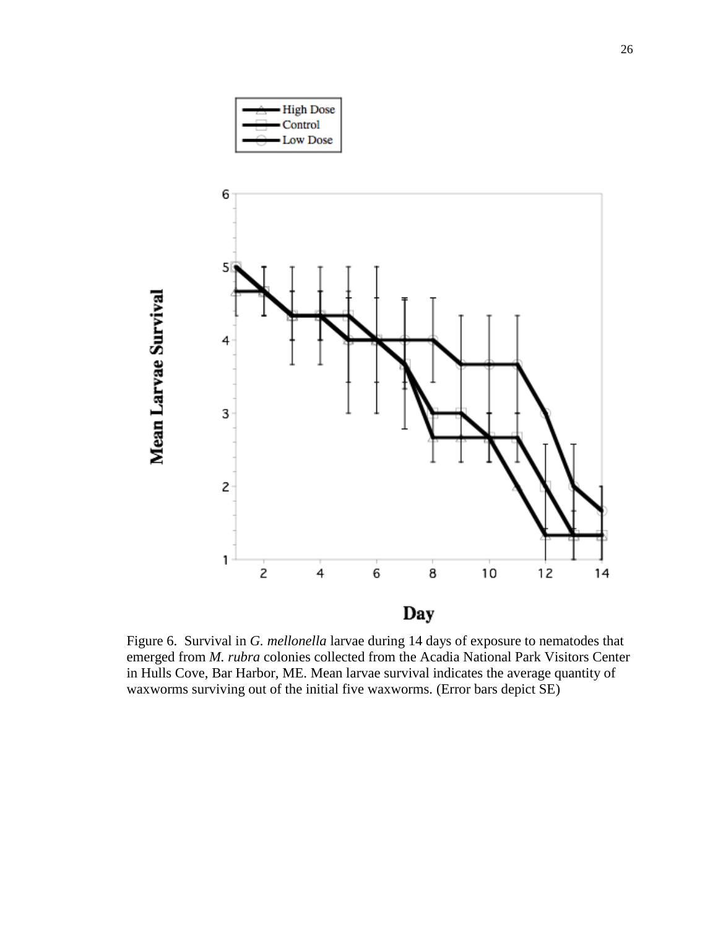

Figure 6. Survival in *G. mellonella* larvae during 14 days of exposure to nematodes that emerged from *M. rubra* colonies collected from the Acadia National Park Visitors Center in Hulls Cove, Bar Harbor, ME. Mean larvae survival indicates the average quantity of waxworms surviving out of the initial five waxworms. (Error bars depict SE)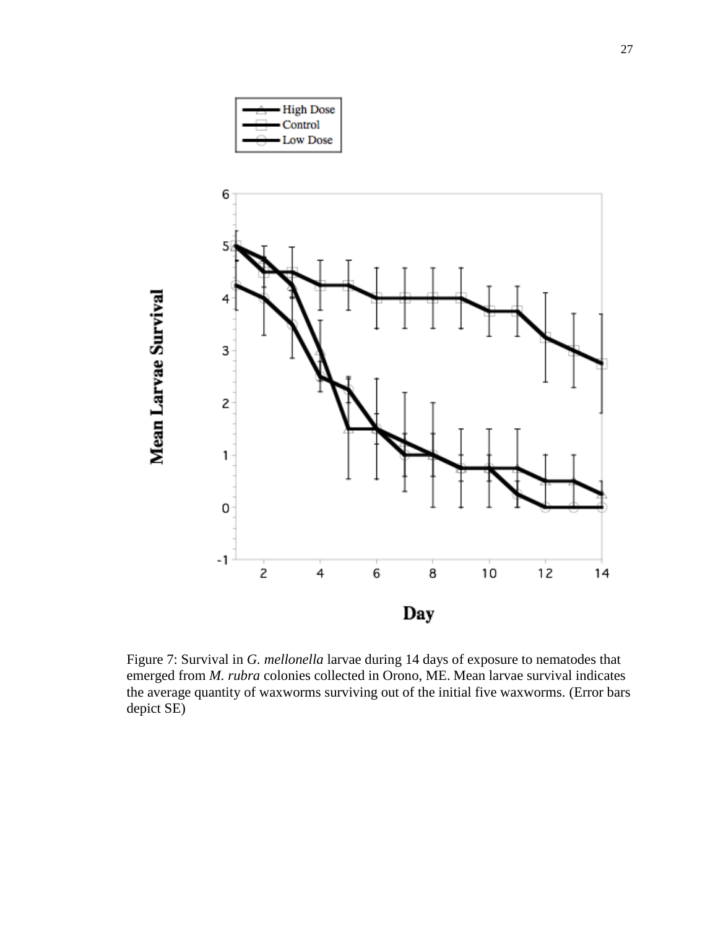

Figure 7: Survival in *G. mellonella* larvae during 14 days of exposure to nematodes that emerged from *M. rubra* colonies collected in Orono, ME. Mean larvae survival indicates the average quantity of waxworms surviving out of the initial five waxworms. (Error bars depict SE)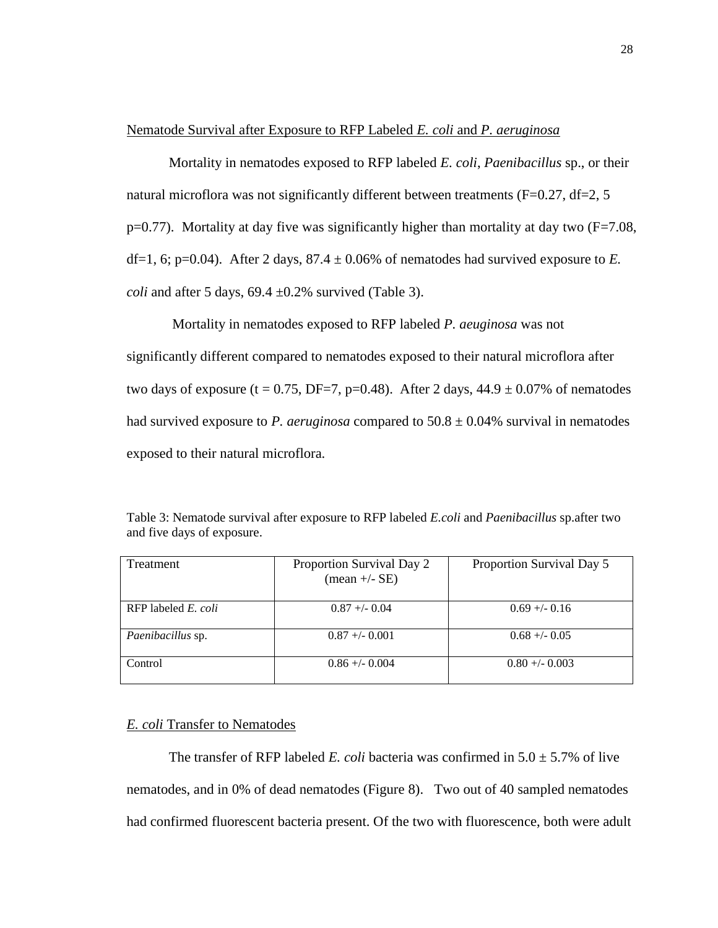#### Nematode Survival after Exposure to RFP Labeled *E. coli* and *P. aeruginosa*

Mortality in nematodes exposed to RFP labeled *E. coli*, *Paenibacillus* sp., or their natural microflora was not significantly different between treatments ( $F=0.27$ ,  $df=2$ , 5  $p=0.77$ ). Mortality at day five was significantly higher than mortality at day two ( $F=7.08$ , df=1, 6; p=0.04). After 2 days,  $87.4 \pm 0.06\%$  of nematodes had survived exposure to *E*. *coli* and after 5 days,  $69.4 \pm 0.2\%$  survived (Table 3).

Mortality in nematodes exposed to RFP labeled *P. aeuginosa* was not significantly different compared to nematodes exposed to their natural microflora after two days of exposure (t = 0.75, DF=7, p=0.48). After 2 days,  $44.9 \pm 0.07\%$  of nematodes had survived exposure to *P. aeruginosa* compared to  $50.8 \pm 0.04\%$  survival in nematodes exposed to their natural microflora.

| Treatment                  | Proportion Survival Day 2<br>$(\text{mean} +/- \text{SE})$ | Proportion Survival Day 5 |
|----------------------------|------------------------------------------------------------|---------------------------|
| RFP labeled <i>E. coli</i> | $0.87 + - 0.04$                                            | $0.69 + - 0.16$           |
| Paenibacillus sp.          | $0.87 + -0.001$                                            | $0.68 + - 0.05$           |
| Control                    | $0.86 + -0.004$                                            | $0.80 + -0.003$           |

Table 3: Nematode survival after exposure to RFP labeled *E.coli* and *Paenibacillus* sp.after two and five days of exposure.

#### *E. coli* Transfer to Nematodes

The transfer of RFP labeled *E. coli* bacteria was confirmed in  $5.0 \pm 5.7\%$  of live nematodes, and in 0% of dead nematodes (Figure 8). Two out of 40 sampled nematodes had confirmed fluorescent bacteria present. Of the two with fluorescence, both were adult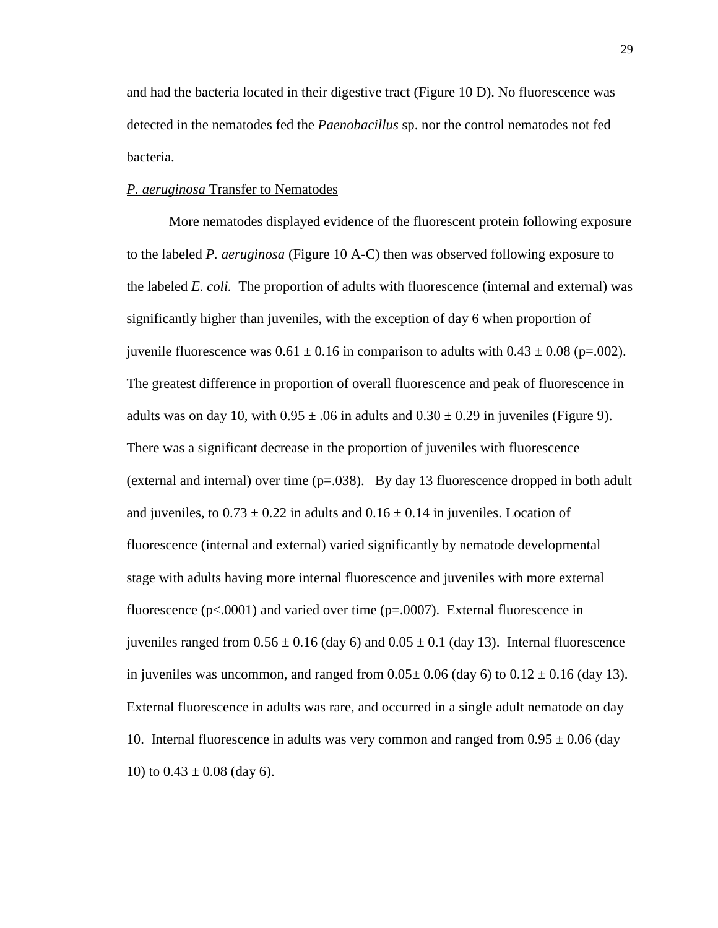and had the bacteria located in their digestive tract (Figure 10 D). No fluorescence was detected in the nematodes fed the *Paenobacillus* sp. nor the control nematodes not fed bacteria.

#### *P. aeruginosa* Transfer to Nematodes

More nematodes displayed evidence of the fluorescent protein following exposure to the labeled *P. aeruginosa* (Figure 10 A-C) then was observed following exposure to the labeled *E. coli.* The proportion of adults with fluorescence (internal and external) was significantly higher than juveniles, with the exception of day 6 when proportion of juvenile fluorescence was  $0.61 \pm 0.16$  in comparison to adults with  $0.43 \pm 0.08$  (p=.002). The greatest difference in proportion of overall fluorescence and peak of fluorescence in adults was on day 10, with  $0.95 \pm .06$  in adults and  $0.30 \pm 0.29$  in juveniles (Figure 9). There was a significant decrease in the proportion of juveniles with fluorescence (external and internal) over time  $(p=.038)$ . By day 13 fluorescence dropped in both adult and juveniles, to  $0.73 \pm 0.22$  in adults and  $0.16 \pm 0.14$  in juveniles. Location of fluorescence (internal and external) varied significantly by nematode developmental stage with adults having more internal fluorescence and juveniles with more external fluorescence ( $p<0.0001$ ) and varied over time ( $p=0.0007$ ). External fluorescence in juveniles ranged from  $0.56 \pm 0.16$  (day 6) and  $0.05 \pm 0.1$  (day 13). Internal fluorescence in juveniles was uncommon, and ranged from  $0.05 \pm 0.06$  (day 6) to  $0.12 \pm 0.16$  (day 13). External fluorescence in adults was rare, and occurred in a single adult nematode on day 10. Internal fluorescence in adults was very common and ranged from  $0.95 \pm 0.06$  (day 10) to  $0.43 \pm 0.08$  (day 6).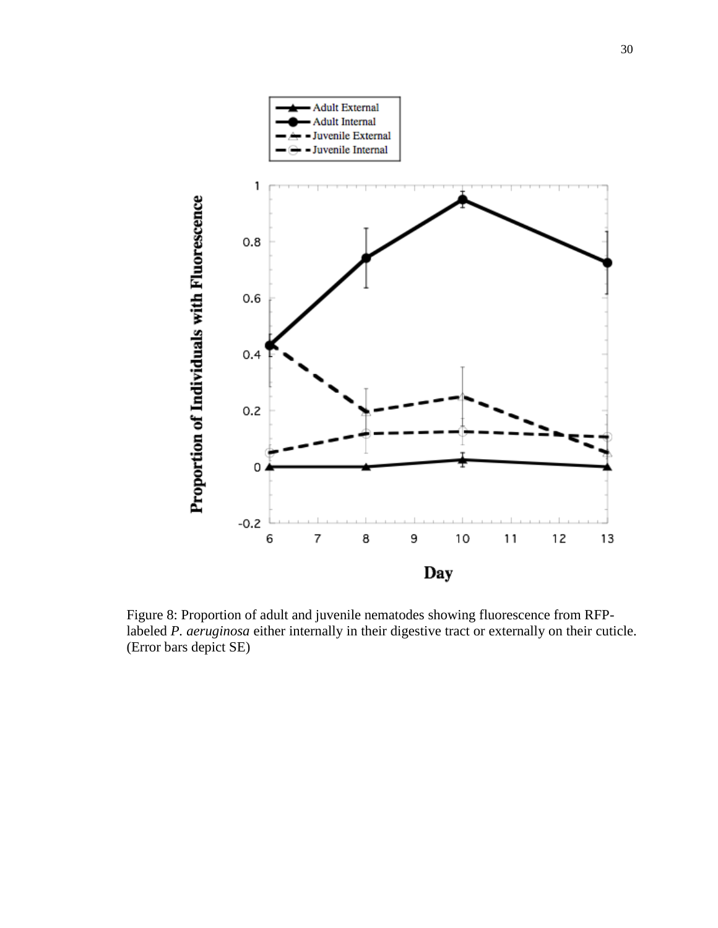

Figure 8: Proportion of adult and juvenile nematodes showing fluorescence from RFPlabeled *P. aeruginosa* either internally in their digestive tract or externally on their cuticle. (Error bars depict SE)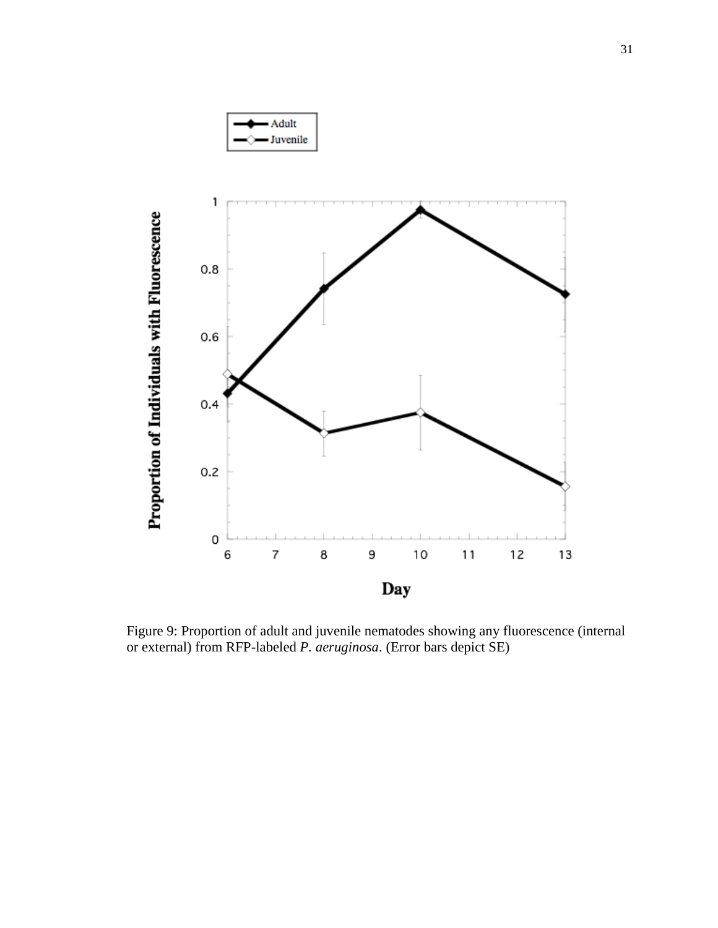

Figure 9: Proportion of adult and juvenile nematodes showing any fluorescence (internal or external) from RFP-labeled *P. aeruginosa*. (Error bars depict SE)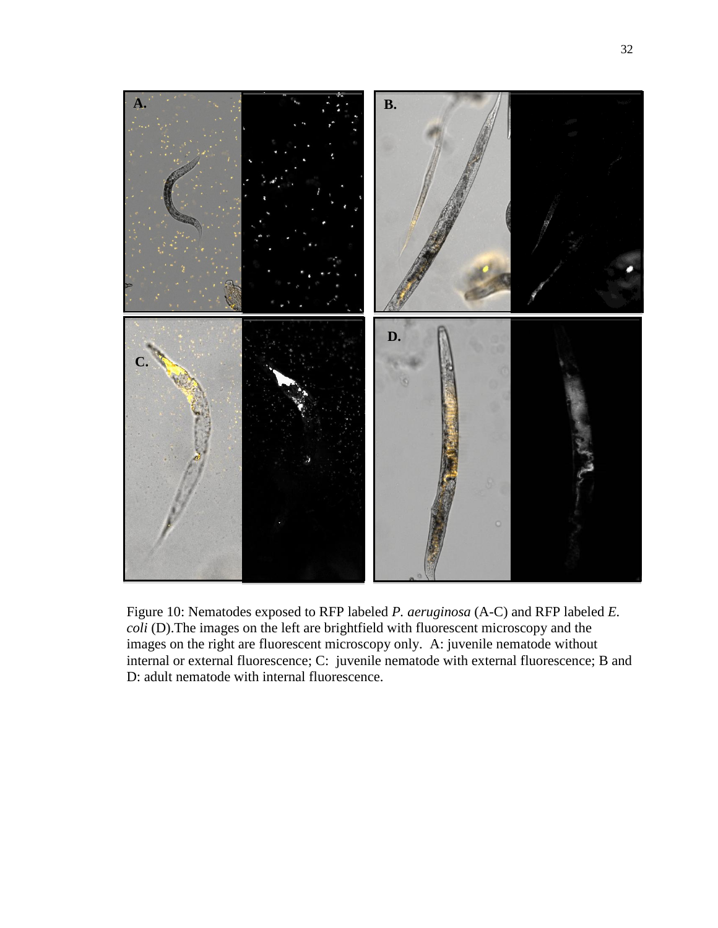

Figure 10: Nematodes exposed to RFP labeled *P. aeruginosa* (A-C) and RFP labeled *E. coli* (D).The images on the left are brightfield with fluorescent microscopy and the images on the right are fluorescent microscopy only. A: juvenile nematode without internal or external fluorescence; C: juvenile nematode with external fluorescence; B and D: adult nematode with internal fluorescence.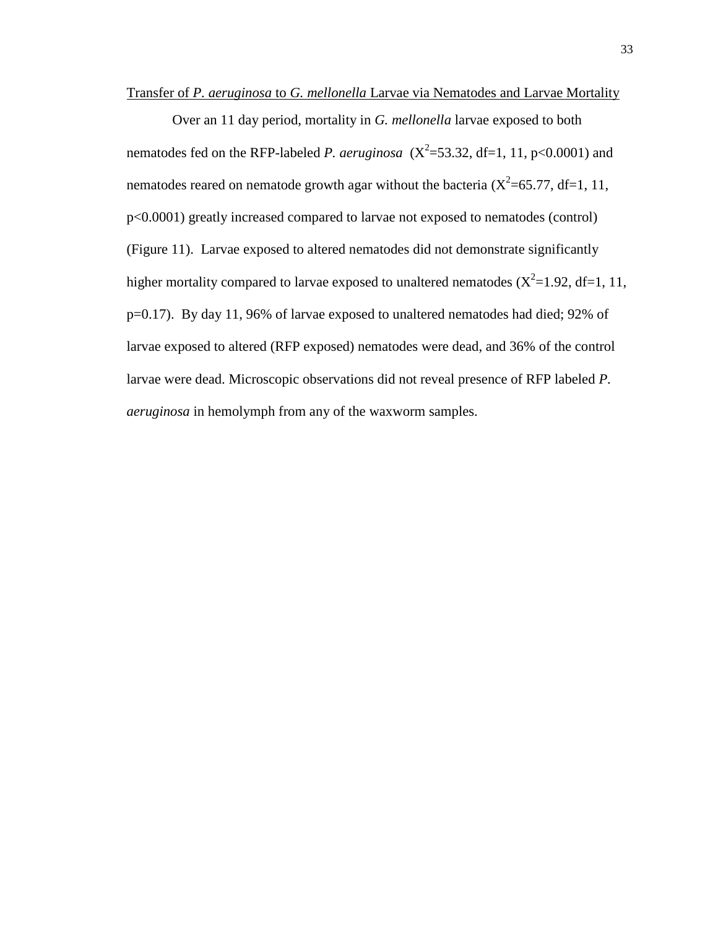Transfer of *P. aeruginosa* to *G. mellonella* Larvae via Nematodes and Larvae Mortality

Over an 11 day period, mortality in *G. mellonella* larvae exposed to both nematodes fed on the RFP-labeled *P. aeruginosa*  $(X^2=53.32, df=1, 11, p<0.0001)$  and nematodes reared on nematode growth agar without the bacteria  $(X^2=65.77, df=1, 11,$ p<0.0001) greatly increased compared to larvae not exposed to nematodes (control) (Figure 11). Larvae exposed to altered nematodes did not demonstrate significantly higher mortality compared to larvae exposed to unaltered nematodes  $(X^2=1.92, df=1, 11,$ p=0.17). By day 11, 96% of larvae exposed to unaltered nematodes had died; 92% of larvae exposed to altered (RFP exposed) nematodes were dead, and 36% of the control larvae were dead. Microscopic observations did not reveal presence of RFP labeled *P. aeruginosa* in hemolymph from any of the waxworm samples.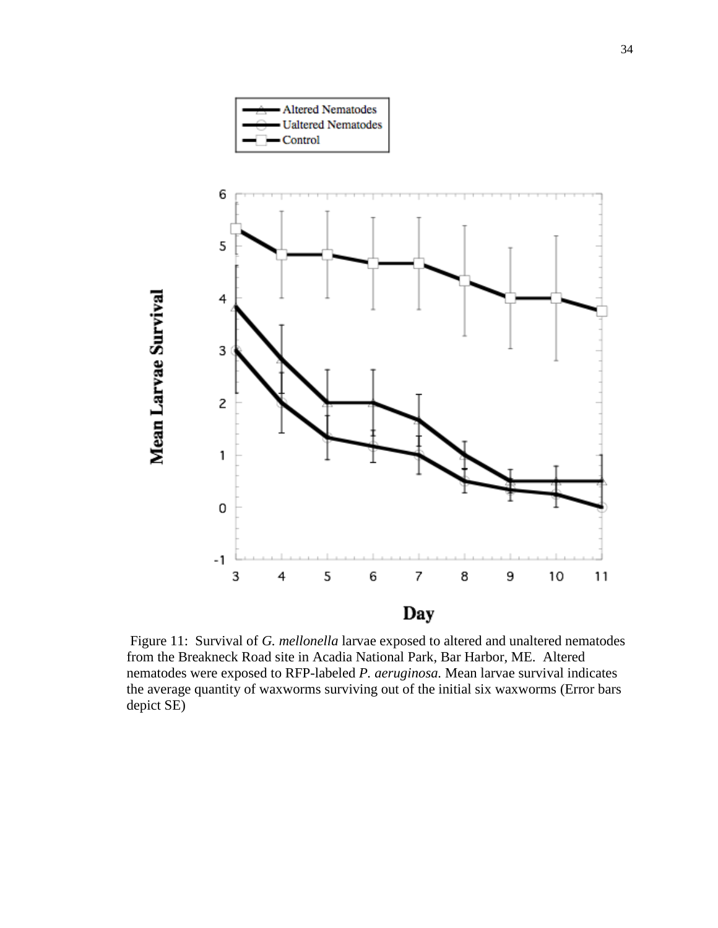

Figure 11: Survival of *G. mellonella* larvae exposed to altered and unaltered nematodes from the Breakneck Road site in Acadia National Park, Bar Harbor, ME. Altered nematodes were exposed to RFP-labeled *P. aeruginosa.* Mean larvae survival indicates the average quantity of waxworms surviving out of the initial six waxworms (Error bars depict SE)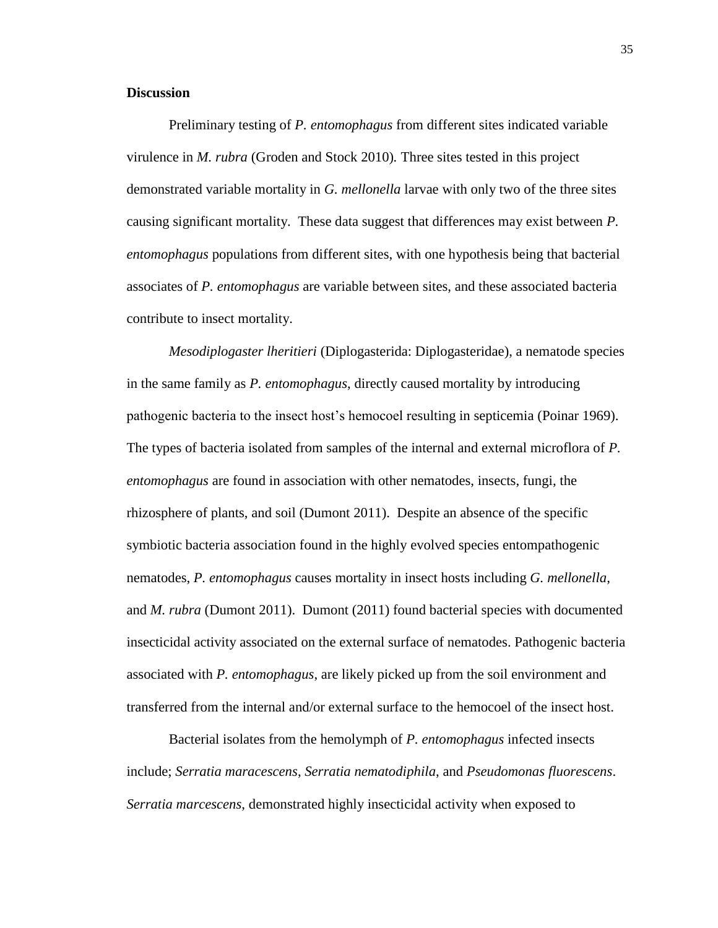#### **Discussion**

Preliminary testing of *P. entomophagus* from different sites indicated variable virulence in *M. rubra* (Groden and Stock 2010)*.* Three sites tested in this project demonstrated variable mortality in *G. mellonella* larvae with only two of the three sites causing significant mortality. These data suggest that differences may exist between *P. entomophagus* populations from different sites, with one hypothesis being that bacterial associates of *P. entomophagus* are variable between sites, and these associated bacteria contribute to insect mortality.

*Mesodiplogaster lheritieri* (Diplogasterida: Diplogasteridae), a nematode species in the same family as *P. entomophagus*, directly caused mortality by introducing pathogenic bacteria to the insect host's hemocoel resulting in septicemia (Poinar 1969). The types of bacteria isolated from samples of the internal and external microflora of *P. entomophagus* are found in association with other nematodes, insects, fungi, the rhizosphere of plants, and soil (Dumont 2011). Despite an absence of the specific symbiotic bacteria association found in the highly evolved species entompathogenic nematodes, *P. entomophagus* causes mortality in insect hosts including *G. mellonella*, and *M. rubra* (Dumont 2011).Dumont (2011) found bacterial species with documented insecticidal activity associated on the external surface of nematodes. Pathogenic bacteria associated with *P. entomophagus*, are likely picked up from the soil environment and transferred from the internal and/or external surface to the hemocoel of the insect host.

Bacterial isolates from the hemolymph of *P. entomophagus* infected insects include; *Serratia maracescens*, *Serratia nematodiphila*, and *Pseudomonas fluorescens*. *Serratia marcescens*, demonstrated highly insecticidal activity when exposed to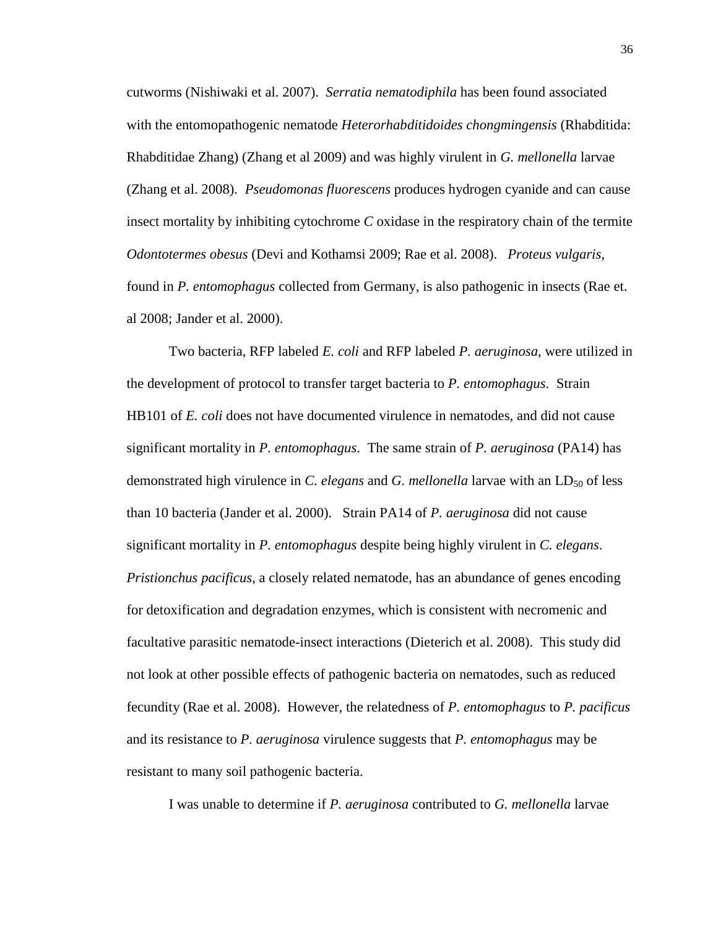cutworms (Nishiwaki et al. 2007). *Serratia nematodiphila* has been found associated with the entomopathogenic nematode *Heterorhabditidoides chongmingensis* (Rhabditida: Rhabditidae Zhang) (Zhang et al 2009) and was highly virulent in *G. mellonella* larvae (Zhang et al. 2008). *Pseudomonas fluorescens* produces hydrogen cyanide and can cause insect mortality by inhibiting cytochrome *C* oxidase in the respiratory chain of the termite *Odontotermes obesus* (Devi and Kothamsi 2009; Rae et al. 2008). *Proteus vulgaris*, found in *P. entomophagus* collected from Germany, is also pathogenic in insects (Rae et. al 2008; Jander et al. 2000).

Two bacteria, RFP labeled *E. coli* and RFP labeled *P. aeruginosa*, were utilized in the development of protocol to transfer target bacteria to *P. entomophagus*. Strain HB101 of *E. coli* does not have documented virulence in nematodes, and did not cause significant mortality in *P. entomophagus*. The same strain of *P. aeruginosa* (PA14) has demonstrated high virulence in *C. elegans* and *G. mellonella* larvae with an LD<sub>50</sub> of less than 10 bacteria (Jander et al. 2000). Strain PA14 of *P. aeruginosa* did not cause significant mortality in *P. entomophagus* despite being highly virulent in *C. elegans*. *Pristionchus pacificus*, a closely related nematode, has an abundance of genes encoding for detoxification and degradation enzymes, which is consistent with necromenic and facultative parasitic nematode-insect interactions (Dieterich et al. 2008). This study did not look at other possible effects of pathogenic bacteria on nematodes, such as reduced fecundity (Rae et al. 2008). However, the relatedness of *P. entomophagus* to *P. pacificus*  and its resistance to *P. aeruginosa* virulence suggests that *P. entomophagus* may be resistant to many soil pathogenic bacteria.

I was unable to determine if *P. aeruginosa* contributed to *G. mellonella* larvae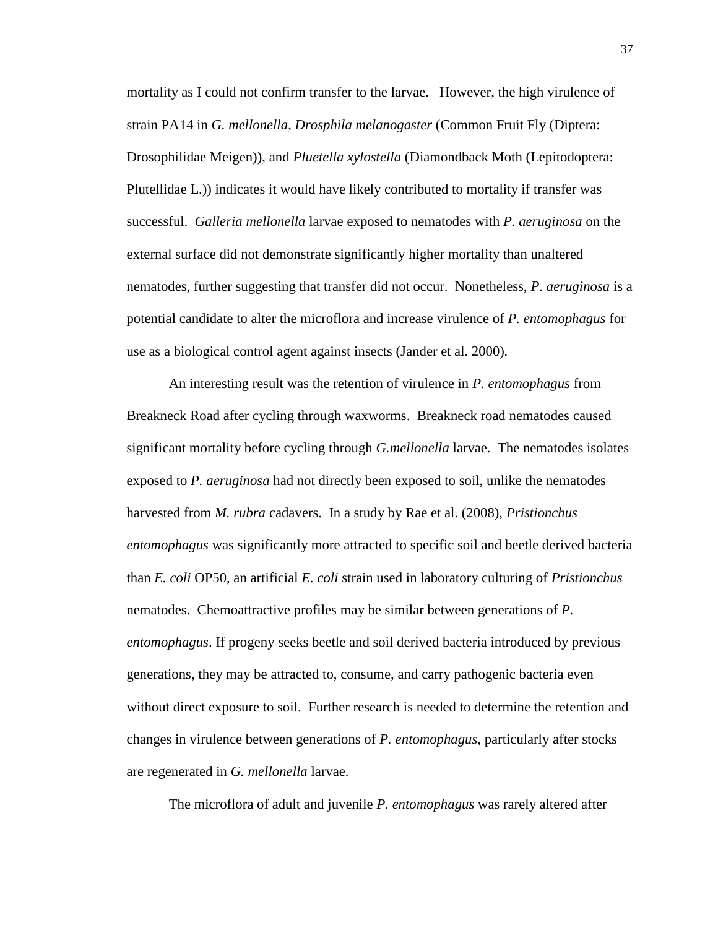mortality as I could not confirm transfer to the larvae. However, the high virulence of strain PA14 in *G. mellonella*, *Drosphila melanogaster* (Common Fruit Fly (Diptera: Drosophilidae Meigen)), and *Pluetella xylostella* (Diamondback Moth (Lepitodoptera: Plutellidae L.)) indicates it would have likely contributed to mortality if transfer was successful. *Galleria mellonella* larvae exposed to nematodes with *P. aeruginosa* on the external surface did not demonstrate significantly higher mortality than unaltered nematodes, further suggesting that transfer did not occur. Nonetheless, *P. aeruginosa* is a potential candidate to alter the microflora and increase virulence of *P. entomophagus* for use as a biological control agent against insects (Jander et al. 2000)*.*

An interesting result was the retention of virulence in *P. entomophagus* from Breakneck Road after cycling through waxworms. Breakneck road nematodes caused significant mortality before cycling through *G.mellonella* larvae. The nematodes isolates exposed to *P. aeruginosa* had not directly been exposed to soil, unlike the nematodes harvested from *M. rubra* cadavers. In a study by Rae et al. (2008), *Pristionchus entomophagus* was significantly more attracted to specific soil and beetle derived bacteria than *E. coli* OP50, an artificial *E. coli* strain used in laboratory culturing of *Pristionchus*  nematodes. Chemoattractive profiles may be similar between generations of *P. entomophagus*. If progeny seeks beetle and soil derived bacteria introduced by previous generations, they may be attracted to, consume, and carry pathogenic bacteria even without direct exposure to soil. Further research is needed to determine the retention and changes in virulence between generations of *P. entomophagus*, particularly after stocks are regenerated in *G. mellonella* larvae.

The microflora of adult and juvenile *P. entomophagus* was rarely altered after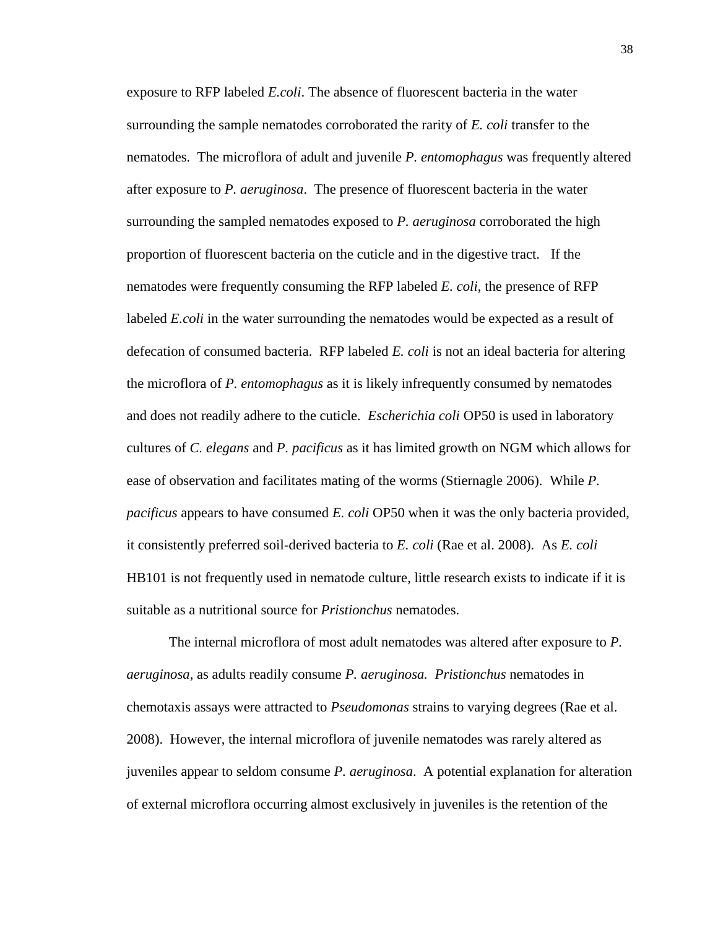exposure to RFP labeled *E.coli*. The absence of fluorescent bacteria in the water surrounding the sample nematodes corroborated the rarity of *E. coli* transfer to the nematodes. The microflora of adult and juvenile *P. entomophagus* was frequently altered after exposure to *P. aeruginosa*. The presence of fluorescent bacteria in the water surrounding the sampled nematodes exposed to *P. aeruginosa* corroborated the high proportion of fluorescent bacteria on the cuticle and in the digestive tract. If the nematodes were frequently consuming the RFP labeled *E. coli*, the presence of RFP labeled *E.coli* in the water surrounding the nematodes would be expected as a result of defecation of consumed bacteria. RFP labeled *E. coli* is not an ideal bacteria for altering the microflora of *P. entomophagus* as it is likely infrequently consumed by nematodes and does not readily adhere to the cuticle. *Escherichia coli* OP50 is used in laboratory cultures of *C. elegans* and *P. pacificus* as it has limited growth on NGM which allows for ease of observation and facilitates mating of the worms (Stiernagle 2006). While *P. pacificus* appears to have consumed *E. coli* OP50 when it was the only bacteria provided, it consistently preferred soil-derived bacteria to *E. coli* (Rae et al. 2008). As *E. coli*  HB101 is not frequently used in nematode culture, little research exists to indicate if it is suitable as a nutritional source for *Pristionchus* nematodes.

The internal microflora of most adult nematodes was altered after exposure to *P. aeruginosa*, as adults readily consume *P. aeruginosa. Pristionchus* nematodes in chemotaxis assays were attracted to *Pseudomonas* strains to varying degrees (Rae et al. 2008). However, the internal microflora of juvenile nematodes was rarely altered as juveniles appear to seldom consume *P. aeruginosa*. A potential explanation for alteration of external microflora occurring almost exclusively in juveniles is the retention of the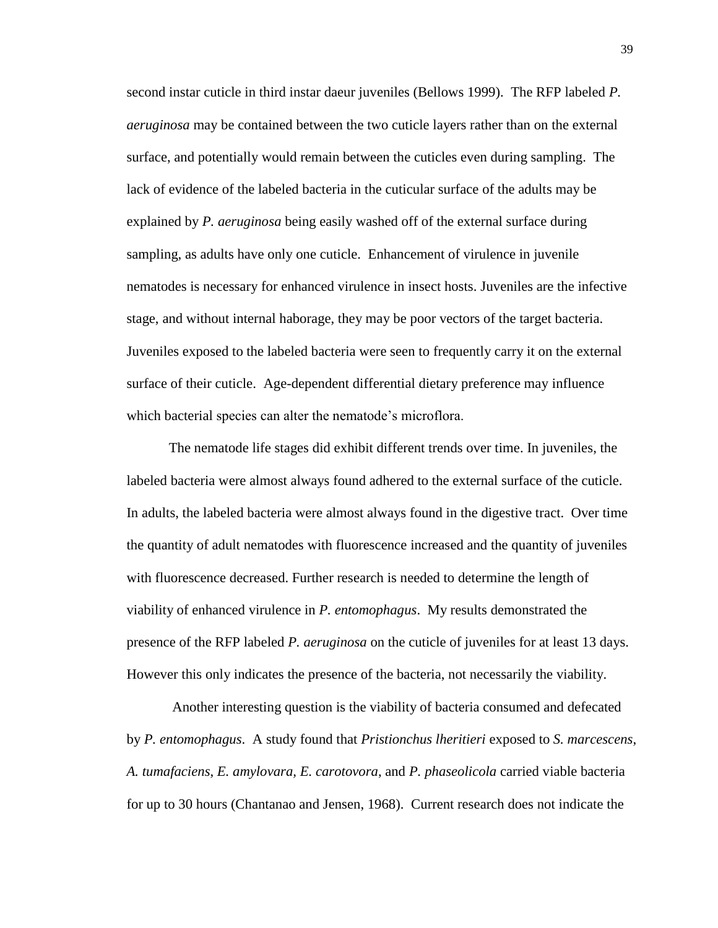second instar cuticle in third instar daeur juveniles (Bellows 1999). The RFP labeled *P. aeruginosa* may be contained between the two cuticle layers rather than on the external surface, and potentially would remain between the cuticles even during sampling. The lack of evidence of the labeled bacteria in the cuticular surface of the adults may be explained by *P. aeruginosa* being easily washed off of the external surface during sampling, as adults have only one cuticle. Enhancement of virulence in juvenile nematodes is necessary for enhanced virulence in insect hosts. Juveniles are the infective stage, and without internal haborage, they may be poor vectors of the target bacteria. Juveniles exposed to the labeled bacteria were seen to frequently carry it on the external surface of their cuticle. Age-dependent differential dietary preference may influence which bacterial species can alter the nematode's microflora.

The nematode life stages did exhibit different trends over time. In juveniles, the labeled bacteria were almost always found adhered to the external surface of the cuticle. In adults, the labeled bacteria were almost always found in the digestive tract. Over time the quantity of adult nematodes with fluorescence increased and the quantity of juveniles with fluorescence decreased. Further research is needed to determine the length of viability of enhanced virulence in *P. entomophagus*. My results demonstrated the presence of the RFP labeled *P. aeruginosa* on the cuticle of juveniles for at least 13 days. However this only indicates the presence of the bacteria, not necessarily the viability.

Another interesting question is the viability of bacteria consumed and defecated by *P. entomophagus*. A study found that *Pristionchus lheritieri* exposed to *S. marcescens*, *A. tumafaciens*, *E. amylovara, E. carotovora*, and *P. phaseolicola* carried viable bacteria for up to 30 hours (Chantanao and Jensen, 1968). Current research does not indicate the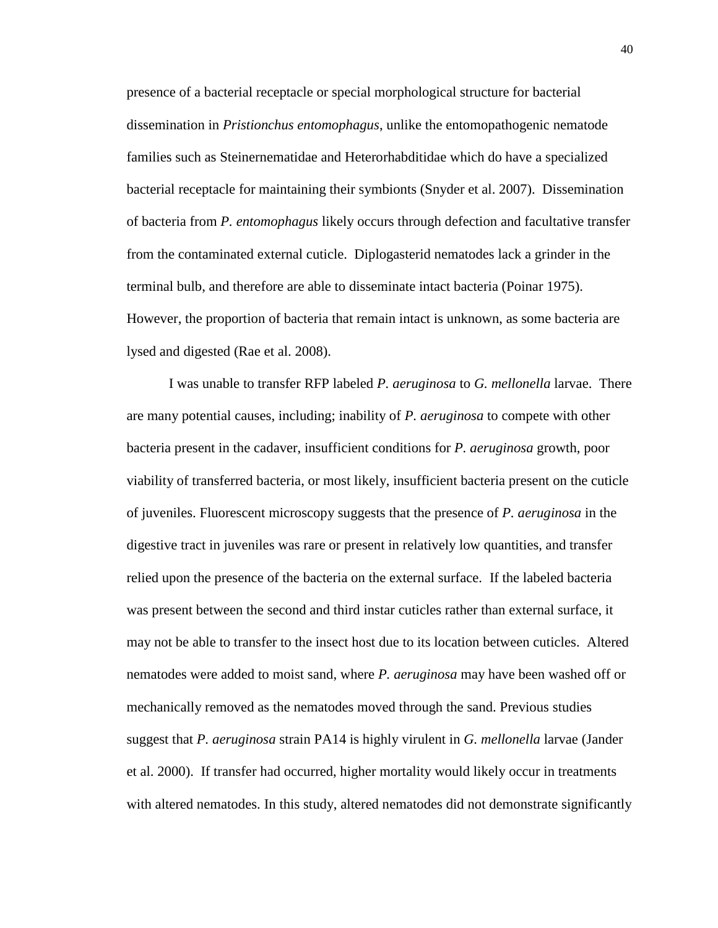presence of a bacterial receptacle or special morphological structure for bacterial dissemination in *Pristionchus entomophagus*, unlike the entomopathogenic nematode families such as Steinernematidae and Heterorhabditidae which do have a specialized bacterial receptacle for maintaining their symbionts (Snyder et al. 2007). Dissemination of bacteria from *P. entomophagus* likely occurs through defection and facultative transfer from the contaminated external cuticle. Diplogasterid nematodes lack a grinder in the terminal bulb, and therefore are able to disseminate intact bacteria (Poinar 1975). However, the proportion of bacteria that remain intact is unknown, as some bacteria are lysed and digested (Rae et al. 2008).

I was unable to transfer RFP labeled *P. aeruginosa* to *G. mellonella* larvae. There are many potential causes, including; inability of *P. aeruginosa* to compete with other bacteria present in the cadaver, insufficient conditions for *P. aeruginosa* growth, poor viability of transferred bacteria, or most likely, insufficient bacteria present on the cuticle of juveniles. Fluorescent microscopy suggests that the presence of *P. aeruginosa* in the digestive tract in juveniles was rare or present in relatively low quantities, and transfer relied upon the presence of the bacteria on the external surface. If the labeled bacteria was present between the second and third instar cuticles rather than external surface, it may not be able to transfer to the insect host due to its location between cuticles. Altered nematodes were added to moist sand, where *P. aeruginosa* may have been washed off or mechanically removed as the nematodes moved through the sand. Previous studies suggest that *P. aeruginosa* strain PA14 is highly virulent in *G. mellonella* larvae (Jander et al. 2000). If transfer had occurred, higher mortality would likely occur in treatments with altered nematodes. In this study, altered nematodes did not demonstrate significantly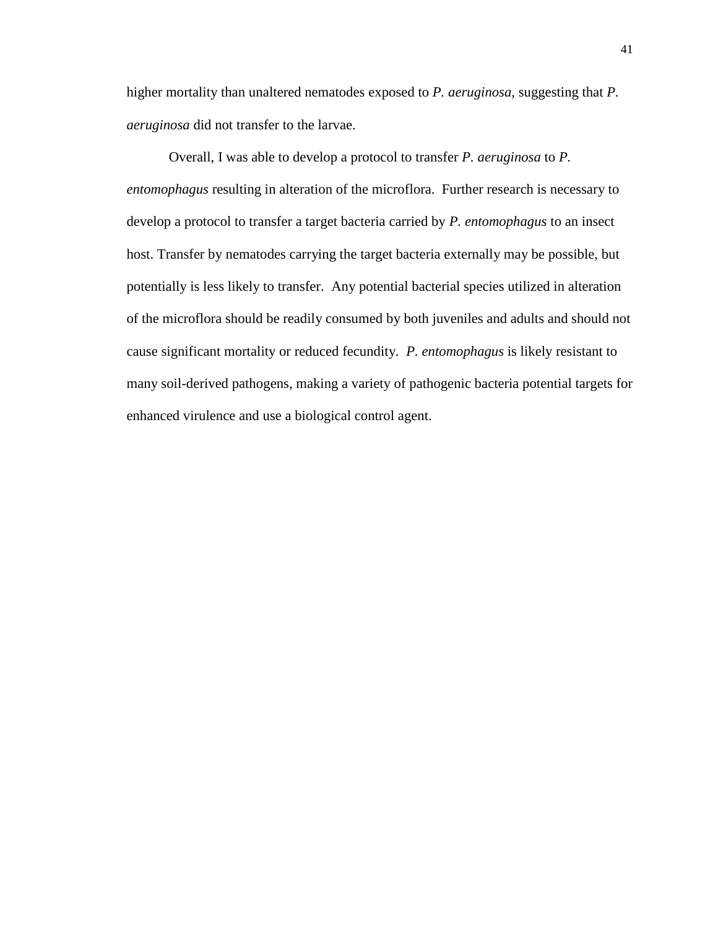higher mortality than unaltered nematodes exposed to *P. aeruginosa*, suggesting that *P. aeruginosa* did not transfer to the larvae.

Overall, I was able to develop a protocol to transfer *P. aeruginosa* to *P. entomophagus* resulting in alteration of the microflora. Further research is necessary to develop a protocol to transfer a target bacteria carried by *P. entomophagus* to an insect host. Transfer by nematodes carrying the target bacteria externally may be possible, but potentially is less likely to transfer. Any potential bacterial species utilized in alteration of the microflora should be readily consumed by both juveniles and adults and should not cause significant mortality or reduced fecundity. *P. entomophagus* is likely resistant to many soil-derived pathogens, making a variety of pathogenic bacteria potential targets for enhanced virulence and use a biological control agent.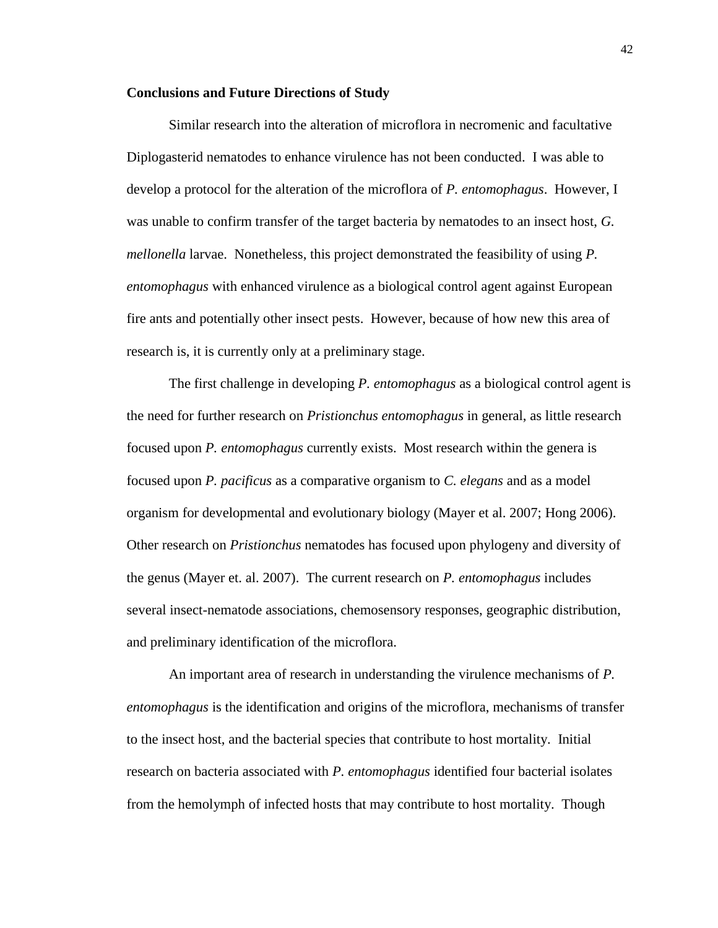#### **Conclusions and Future Directions of Study**

Similar research into the alteration of microflora in necromenic and facultative Diplogasterid nematodes to enhance virulence has not been conducted. I was able to develop a protocol for the alteration of the microflora of *P. entomophagus*. However, I was unable to confirm transfer of the target bacteria by nematodes to an insect host, *G. mellonella* larvae. Nonetheless, this project demonstrated the feasibility of using *P. entomophagus* with enhanced virulence as a biological control agent against European fire ants and potentially other insect pests. However, because of how new this area of research is, it is currently only at a preliminary stage.

The first challenge in developing *P. entomophagus* as a biological control agent is the need for further research on *Pristionchus entomophagus* in general, as little research focused upon *P. entomophagus* currently exists. Most research within the genera is focused upon *P. pacificus* as a comparative organism to *C. elegans* and as a model organism for developmental and evolutionary biology (Mayer et al. 2007; Hong 2006). Other research on *Pristionchus* nematodes has focused upon phylogeny and diversity of the genus (Mayer et. al. 2007). The current research on *P. entomophagus* includes several insect-nematode associations, chemosensory responses, geographic distribution, and preliminary identification of the microflora.

An important area of research in understanding the virulence mechanisms of *P. entomophagus* is the identification and origins of the microflora, mechanisms of transfer to the insect host, and the bacterial species that contribute to host mortality. Initial research on bacteria associated with *P. entomophagus* identified four bacterial isolates from the hemolymph of infected hosts that may contribute to host mortality. Though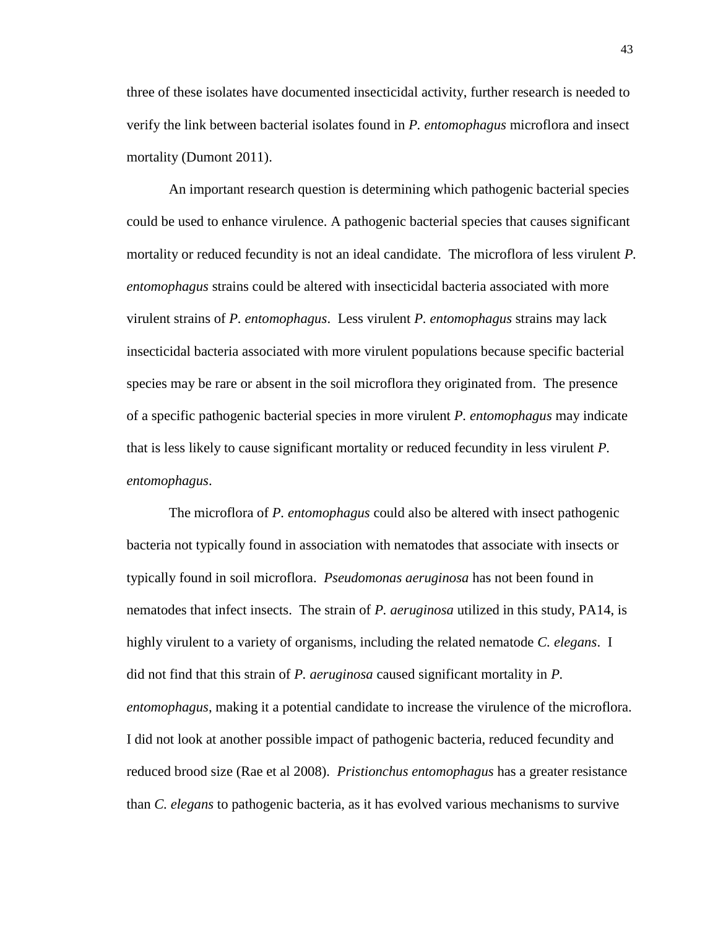three of these isolates have documented insecticidal activity, further research is needed to verify the link between bacterial isolates found in *P. entomophagus* microflora and insect mortality (Dumont 2011).

An important research question is determining which pathogenic bacterial species could be used to enhance virulence. A pathogenic bacterial species that causes significant mortality or reduced fecundity is not an ideal candidate. The microflora of less virulent *P. entomophagus* strains could be altered with insecticidal bacteria associated with more virulent strains of *P. entomophagus*. Less virulent *P. entomophagus* strains may lack insecticidal bacteria associated with more virulent populations because specific bacterial species may be rare or absent in the soil microflora they originated from. The presence of a specific pathogenic bacterial species in more virulent *P. entomophagus* may indicate that is less likely to cause significant mortality or reduced fecundity in less virulent *P. entomophagus*.

The microflora of *P. entomophagus* could also be altered with insect pathogenic bacteria not typically found in association with nematodes that associate with insects or typically found in soil microflora. *Pseudomonas aeruginosa* has not been found in nematodes that infect insects. The strain of *P. aeruginosa* utilized in this study, PA14, is highly virulent to a variety of organisms, including the related nematode *C. elegans*. I did not find that this strain of *P. aeruginosa* caused significant mortality in *P. entomophagus*, making it a potential candidate to increase the virulence of the microflora. I did not look at another possible impact of pathogenic bacteria, reduced fecundity and reduced brood size (Rae et al 2008). *Pristionchus entomophagus* has a greater resistance than *C. elegans* to pathogenic bacteria, as it has evolved various mechanisms to survive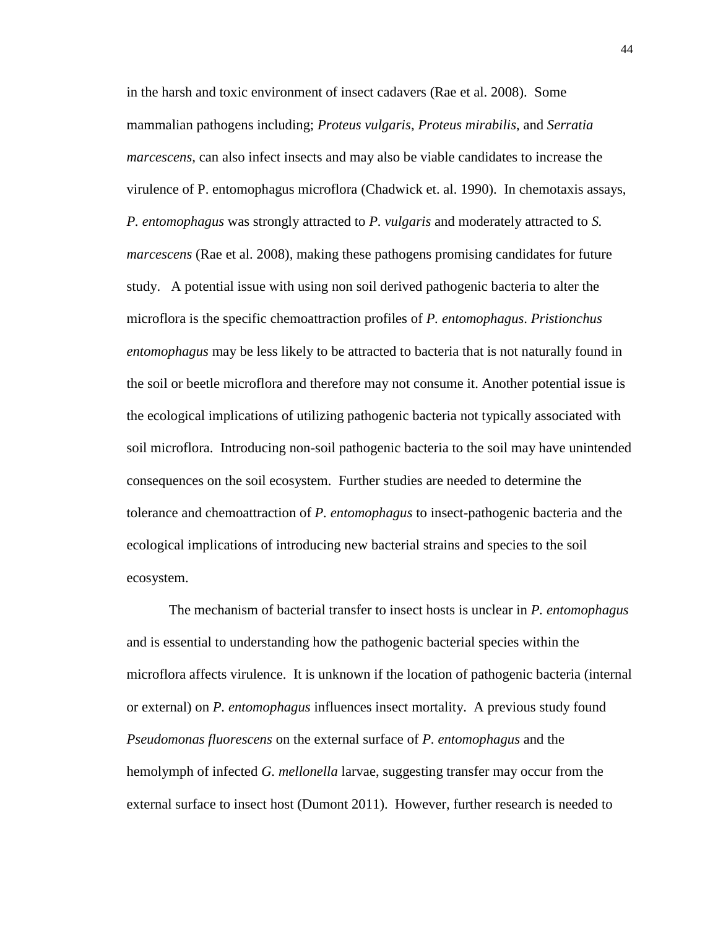in the harsh and toxic environment of insect cadavers (Rae et al. 2008). Some mammalian pathogens including; *Proteus vulgaris*, *Proteus mirabilis*, and *Serratia marcescens,* can also infect insects and may also be viable candidates to increase the virulence of P. entomophagus microflora (Chadwick et. al. 1990). In chemotaxis assays, *P. entomophagus* was strongly attracted to *P. vulgaris* and moderately attracted to *S. marcescens* (Rae et al. 2008)*,* making these pathogens promising candidates for future study. A potential issue with using non soil derived pathogenic bacteria to alter the microflora is the specific chemoattraction profiles of *P. entomophagus*. *Pristionchus entomophagus* may be less likely to be attracted to bacteria that is not naturally found in the soil or beetle microflora and therefore may not consume it. Another potential issue is the ecological implications of utilizing pathogenic bacteria not typically associated with soil microflora. Introducing non-soil pathogenic bacteria to the soil may have unintended consequences on the soil ecosystem. Further studies are needed to determine the tolerance and chemoattraction of *P. entomophagus* to insect-pathogenic bacteria and the ecological implications of introducing new bacterial strains and species to the soil ecosystem.

The mechanism of bacterial transfer to insect hosts is unclear in *P. entomophagus* and is essential to understanding how the pathogenic bacterial species within the microflora affects virulence. It is unknown if the location of pathogenic bacteria (internal or external) on *P. entomophagus* influences insect mortality. A previous study found *Pseudomonas fluorescens* on the external surface of *P. entomophagus* and the hemolymph of infected *G. mellonella* larvae, suggesting transfer may occur from the external surface to insect host (Dumont 2011). However, further research is needed to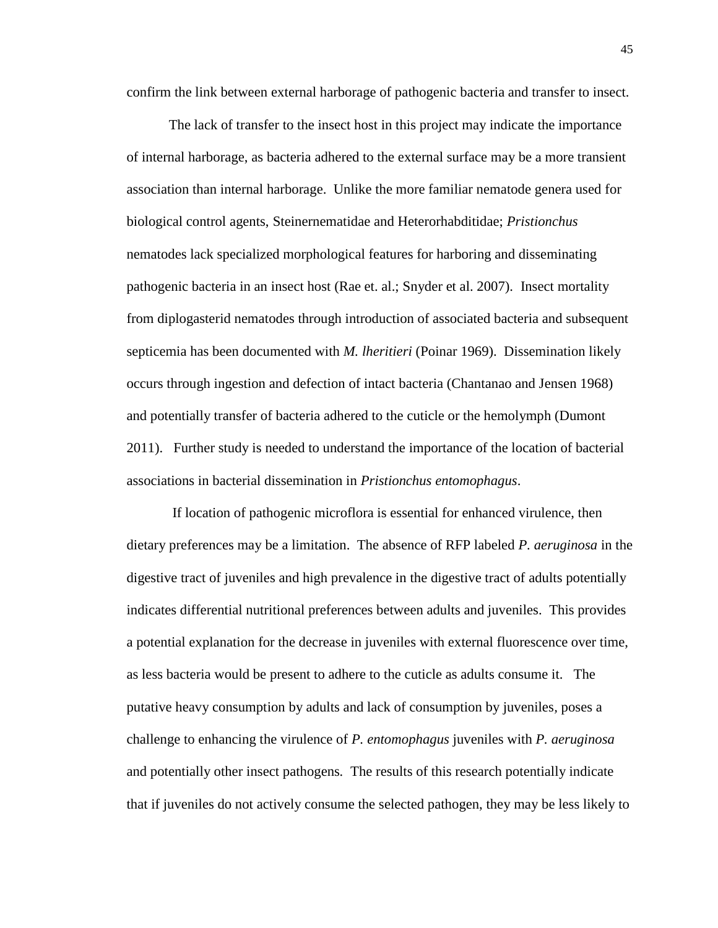confirm the link between external harborage of pathogenic bacteria and transfer to insect.

The lack of transfer to the insect host in this project may indicate the importance of internal harborage, as bacteria adhered to the external surface may be a more transient association than internal harborage. Unlike the more familiar nematode genera used for biological control agents, Steinernematidae and Heterorhabditidae; *Pristionchus*  nematodes lack specialized morphological features for harboring and disseminating pathogenic bacteria in an insect host (Rae et. al.; Snyder et al. 2007). Insect mortality from diplogasterid nematodes through introduction of associated bacteria and subsequent septicemia has been documented with *M. lheritieri* (Poinar 1969).Dissemination likely occurs through ingestion and defection of intact bacteria (Chantanao and Jensen 1968) and potentially transfer of bacteria adhered to the cuticle or the hemolymph (Dumont 2011). Further study is needed to understand the importance of the location of bacterial associations in bacterial dissemination in *Pristionchus entomophagus*.

If location of pathogenic microflora is essential for enhanced virulence, then dietary preferences may be a limitation. The absence of RFP labeled *P. aeruginosa* in the digestive tract of juveniles and high prevalence in the digestive tract of adults potentially indicates differential nutritional preferences between adults and juveniles. This provides a potential explanation for the decrease in juveniles with external fluorescence over time, as less bacteria would be present to adhere to the cuticle as adults consume it. The putative heavy consumption by adults and lack of consumption by juveniles*,* poses a challenge to enhancing the virulence of *P. entomophagus* juveniles with *P. aeruginosa*  and potentially other insect pathogens*.* The results of this research potentially indicate that if juveniles do not actively consume the selected pathogen, they may be less likely to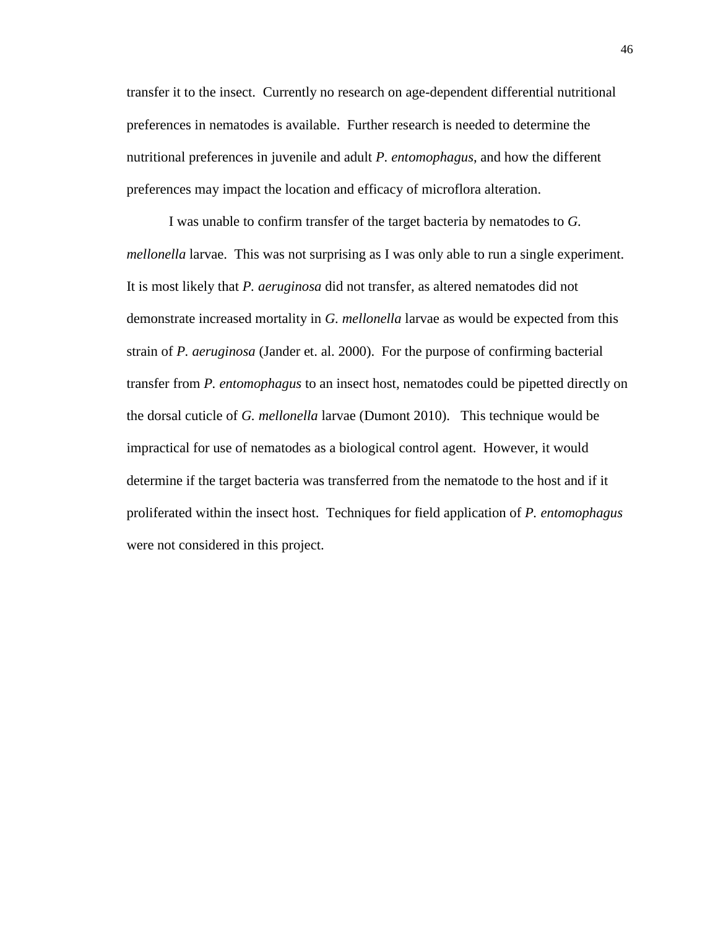transfer it to the insect. Currently no research on age-dependent differential nutritional preferences in nematodes is available. Further research is needed to determine the nutritional preferences in juvenile and adult *P. entomophagus*, and how the different preferences may impact the location and efficacy of microflora alteration.

I was unable to confirm transfer of the target bacteria by nematodes to *G. mellonella* larvae. This was not surprising as I was only able to run a single experiment. It is most likely that *P. aeruginosa* did not transfer, as altered nematodes did not demonstrate increased mortality in *G. mellonella* larvae as would be expected from this strain of *P. aeruginosa* (Jander et. al. 2000). For the purpose of confirming bacterial transfer from *P. entomophagus* to an insect host, nematodes could be pipetted directly on the dorsal cuticle of *G. mellonella* larvae (Dumont 2010). This technique would be impractical for use of nematodes as a biological control agent. However, it would determine if the target bacteria was transferred from the nematode to the host and if it proliferated within the insect host. Techniques for field application of *P. entomophagus* were not considered in this project.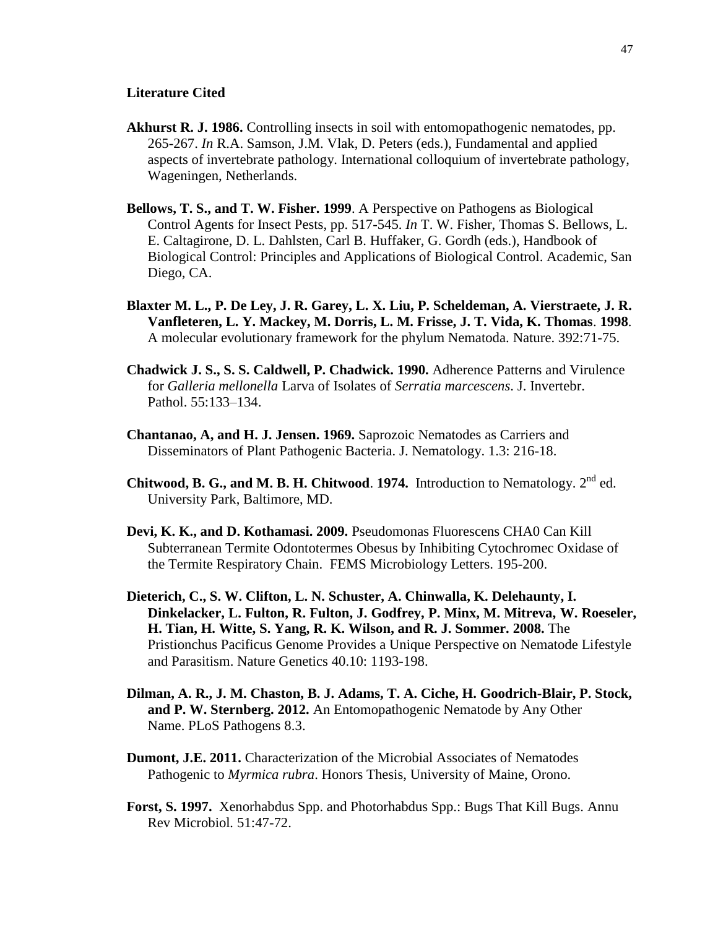#### **Literature Cited**

- **Akhurst R. J. 1986.** Controlling insects in soil with entomopathogenic nematodes, pp. 265-267. *In* R.A. Samson, J.M. Vlak, D. Peters (eds.), Fundamental and applied aspects of invertebrate pathology. International colloquium of invertebrate pathology, Wageningen, Netherlands.
- **Bellows, T. S., and T. W. Fisher. 1999**. A Perspective on Pathogens as Biological Control Agents for Insect Pests, pp. 517-545. *In* T. W. Fisher, Thomas S. Bellows, L. E. Caltagirone, D. L. Dahlsten, Carl B. Huffaker, G. Gordh (eds.), Handbook of Biological Control: Principles and Applications of Biological Control. Academic, San Diego, CA.
- **Blaxter M. L., P. De Ley, J. R. Garey, L. X. Liu, P. Scheldeman, A. Vierstraete, J. R. Vanfleteren, L. Y. Mackey, M. Dorris, L. M. Frisse, J. T. Vida, K. Thomas**. **1998**. A molecular evolutionary framework for the phylum Nematoda. Nature. 392:71-75.
- **Chadwick J. S., S. S. Caldwell, P. Chadwick. 1990.** Adherence Patterns and Virulence for *Galleria mellonella* Larva of Isolates of *Serratia marcescens*. J. Invertebr. Pathol. 55:133–134.
- **Chantanao, A, and H. J. Jensen. 1969.** Saprozoic Nematodes as Carriers and Disseminators of Plant Pathogenic Bacteria. J. Nematology. 1.3: 216-18.
- **Chitwood, B. G., and M. B. H. Chitwood. 1974.** Introduction to Nematology.  $2^{nd}$  ed. University Park, Baltimore, MD.
- **Devi, K. K., and D. Kothamasi. 2009.** Pseudomonas Fluorescens CHA0 Can Kill Subterranean Termite Odontotermes Obesus by Inhibiting Cytochromec Oxidase of the Termite Respiratory Chain. FEMS Microbiology Letters. 195-200.
- **Dieterich, C., S. W. Clifton, L. N. Schuster, A. Chinwalla, K. Delehaunty, I. Dinkelacker, L. Fulton, R. Fulton, J. Godfrey, P. Minx, M. Mitreva, W. Roeseler, H. Tian, H. Witte, S. Yang, R. K. Wilson, and R. J. Sommer. 2008.** The Pristionchus Pacificus Genome Provides a Unique Perspective on Nematode Lifestyle and Parasitism. Nature Genetics 40.10: 1193-198.
- **Dilman, A. R., J. M. Chaston, B. J. Adams, T. A. Ciche, H. Goodrich-Blair, P. Stock, and P. W. Sternberg. 2012.** An Entomopathogenic Nematode by Any Other Name. PLoS Pathogens 8.3.
- **Dumont, J.E. 2011.** Characterization of the Microbial Associates of Nematodes Pathogenic to *Myrmica rubra*. Honors Thesis, University of Maine, Orono.
- **Forst, S. 1997.** Xenorhabdus Spp. and Photorhabdus Spp.: Bugs That Kill Bugs. Annu Rev Microbiol*.* 51:47-72.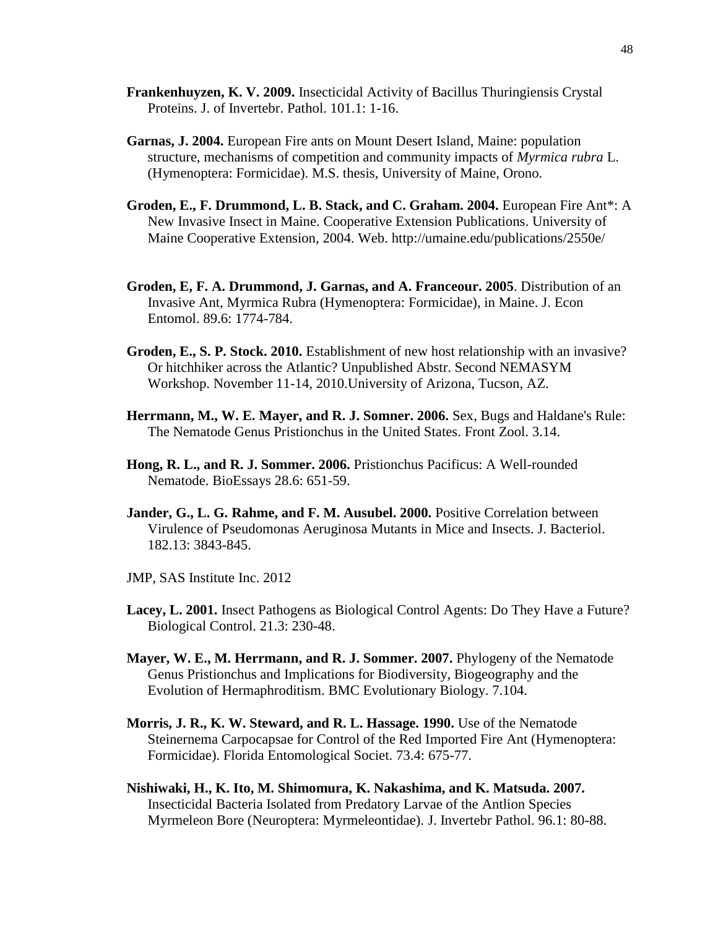- **Frankenhuyzen, K. V. 2009.** Insecticidal Activity of Bacillus Thuringiensis Crystal Proteins. J. of Invertebr. Pathol. 101.1: 1-16.
- **Garnas, J. 2004.** European Fire ants on Mount Desert Island, Maine: population structure, mechanisms of competition and community impacts of *Myrmica rubra* L. (Hymenoptera: Formicidae). M.S. thesis, University of Maine, Orono.
- **Groden, E., F. Drummond, L. B. Stack, and C. Graham. 2004.** European Fire Ant\*: A New Invasive Insect in Maine. Cooperative Extension Publications. University of Maine Cooperative Extension, 2004. Web. http://umaine.edu/publications/2550e/
- **Groden, E, F. A. Drummond, J. Garnas, and A. Franceour. 2005**. Distribution of an Invasive Ant, Myrmica Rubra (Hymenoptera: Formicidae), in Maine. J. Econ Entomol. 89.6: 1774-784.
- **Groden, E., S. P. Stock. 2010.** Establishment of new host relationship with an invasive? Or hitchhiker across the Atlantic? Unpublished Abstr. Second NEMASYM Workshop. November 11-14, 2010.University of Arizona, Tucson, AZ.
- **Herrmann, M., W. E. Mayer, and R. J. Somner. 2006.** Sex, Bugs and Haldane's Rule: The Nematode Genus Pristionchus in the United States. Front Zool. 3.14.
- **Hong, R. L., and R. J. Sommer. 2006.** Pristionchus Pacificus: A Well-rounded Nematode. BioEssays 28.6: 651-59.
- **Jander, G., L. G. Rahme, and F. M. Ausubel. 2000.** Positive Correlation between Virulence of Pseudomonas Aeruginosa Mutants in Mice and Insects. J. Bacteriol. 182.13: 3843-845.
- JMP, SAS Institute Inc. 2012
- **Lacey, L. 2001.** Insect Pathogens as Biological Control Agents: Do They Have a Future? Biological Control. 21.3: 230-48.
- **Mayer, W. E., M. Herrmann, and R. J. Sommer. 2007.** Phylogeny of the Nematode Genus Pristionchus and Implications for Biodiversity, Biogeography and the Evolution of Hermaphroditism. BMC Evolutionary Biology. 7.104.
- **Morris, J. R., K. W. Steward, and R. L. Hassage. 1990.** Use of the Nematode Steinernema Carpocapsae for Control of the Red Imported Fire Ant (Hymenoptera: Formicidae). Florida Entomological Societ. 73.4: 675-77.
- **Nishiwaki, H., K. Ito, M. Shimomura, K. Nakashima, and K. Matsuda. 2007.** Insecticidal Bacteria Isolated from Predatory Larvae of the Antlion Species Myrmeleon Bore (Neuroptera: Myrmeleontidae). J. Invertebr Pathol. 96.1: 80-88.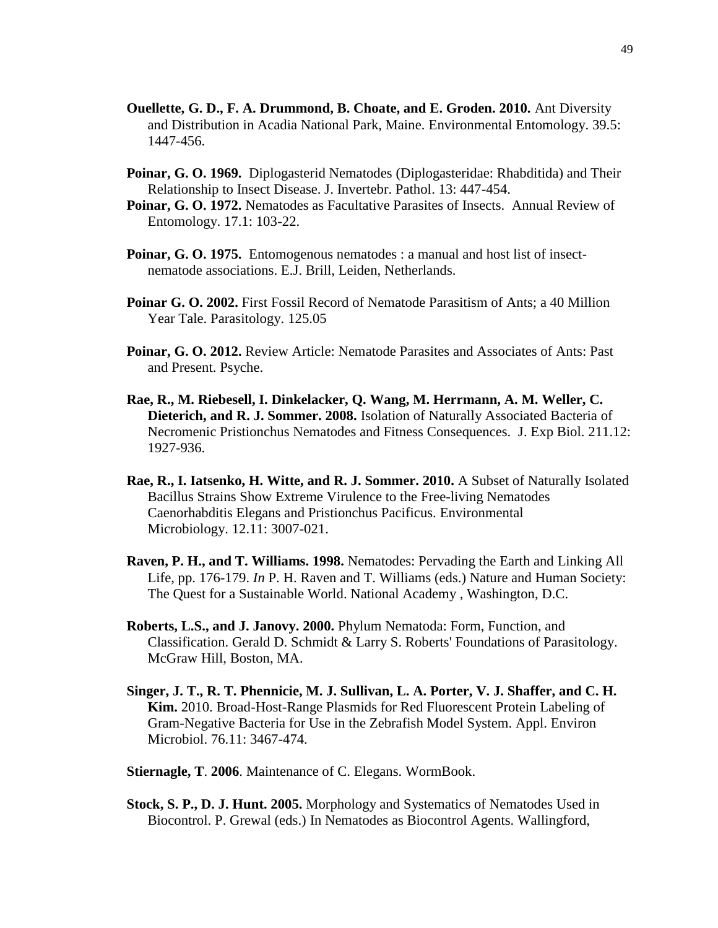- **Ouellette, G. D., F. A. Drummond, B. Choate, and E. Groden. 2010.** Ant Diversity and Distribution in Acadia National Park, Maine. Environmental Entomology. 39.5: 1447-456.
- **Poinar, G. O. 1969.** Diplogasterid Nematodes (Diplogasteridae: Rhabditida) and Their Relationship to Insect Disease. J. Invertebr. Pathol. 13: 447-454.
- **Poinar, G. O. 1972.** Nematodes as Facultative Parasites of Insects. Annual Review of Entomology. 17.1: 103-22.
- Poinar, G. O. 1975. Entomogenous nematodes : a manual and host list of insectnematode associations. E.J. Brill, Leiden, Netherlands.
- **Poinar G. O. 2002.** First Fossil Record of Nematode Parasitism of Ants; a 40 Million Year Tale. Parasitology. 125.05
- **Poinar, G. O. 2012.** Review Article: Nematode Parasites and Associates of Ants: Past and Present. Psyche.
- **Rae, R., M. Riebesell, I. Dinkelacker, Q. Wang, M. Herrmann, A. M. Weller, C. Dieterich, and R. J. Sommer. 2008.** Isolation of Naturally Associated Bacteria of Necromenic Pristionchus Nematodes and Fitness Consequences. J. Exp Biol. 211.12: 1927-936.
- **Rae, R., I. Iatsenko, H. Witte, and R. J. Sommer. 2010.** A Subset of Naturally Isolated Bacillus Strains Show Extreme Virulence to the Free-living Nematodes Caenorhabditis Elegans and Pristionchus Pacificus. Environmental Microbiology. 12.11: 3007-021.
- **Raven, P. H., and T. Williams. 1998.** Nematodes: Pervading the Earth and Linking All Life, pp. 176-179. *In* P. H. Raven and T. Williams (eds.) Nature and Human Society: The Quest for a Sustainable World. National Academy , Washington, D.C.
- **Roberts, L.S., and J. Janovy. 2000.** Phylum Nematoda: Form, Function, and Classification. Gerald D. Schmidt & Larry S. Roberts' Foundations of Parasitology. McGraw Hill, Boston, MA.
- **Singer, J. T., R. T. Phennicie, M. J. Sullivan, L. A. Porter, V. J. Shaffer, and C. H. Kim.** 2010. Broad-Host-Range Plasmids for Red Fluorescent Protein Labeling of Gram-Negative Bacteria for Use in the Zebrafish Model System. Appl. Environ Microbiol. 76.11: 3467-474.
- **Stiernagle, T**. **2006**. Maintenance of C. Elegans. WormBook.
- **Stock, S. P., D. J. Hunt. 2005.** Morphology and Systematics of Nematodes Used in Biocontrol. P. Grewal (eds.) In Nematodes as Biocontrol Agents. Wallingford,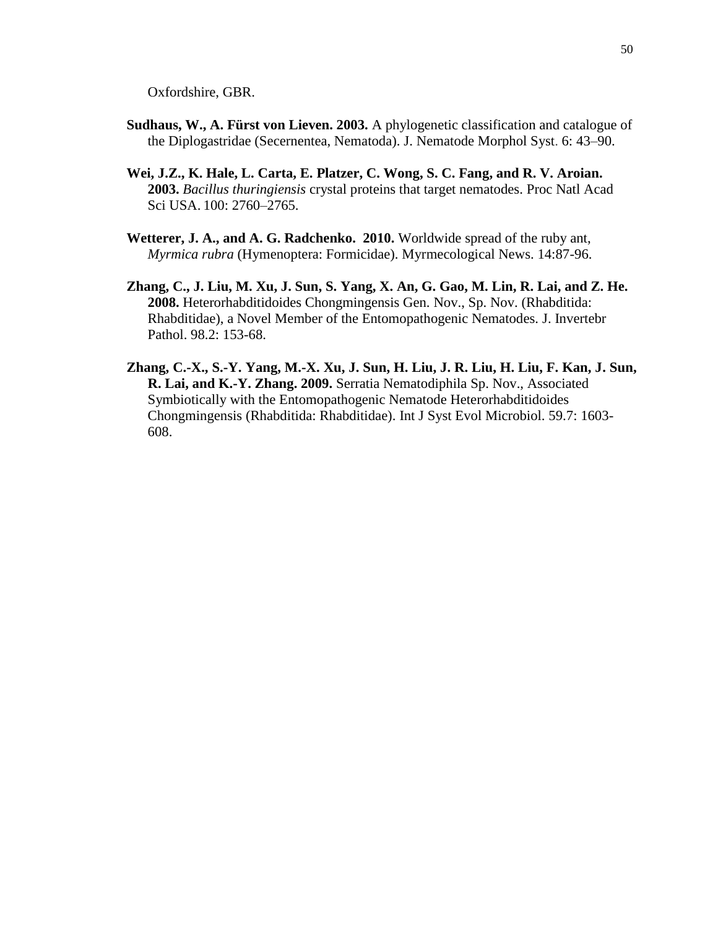Oxfordshire, GBR.

- **Sudhaus, W., A. Fürst von Lieven. 2003.** A phylogenetic classification and catalogue of the Diplogastridae (Secernentea, Nematoda). J. Nematode Morphol Syst. 6: 43–90.
- **Wei, J.Z., K. Hale, L. Carta, E. Platzer, C. Wong, S. C. Fang, and R. V. Aroian. 2003.** *Bacillus thuringiensis* crystal proteins that target nematodes. [Proc Natl Acad](http://www.ncbi.nlm.nih.gov/pubmed/12598644)  [Sci USA.](http://www.ncbi.nlm.nih.gov/pubmed/12598644) 100: 2760–2765.
- **Wetterer, J. A., and A. G. Radchenko. 2010.** Worldwide spread of the ruby ant, *Myrmica rubra* (Hymenoptera: Formicidae). Myrmecological News. 14:87-96.
- **Zhang, C., J. Liu, M. Xu, J. Sun, S. Yang, X. An, G. Gao, M. Lin, R. Lai, and Z. He. 2008.** Heterorhabditidoides Chongmingensis Gen. Nov., Sp. Nov. (Rhabditida: Rhabditidae), a Novel Member of the Entomopathogenic Nematodes. J. Invertebr Pathol. 98.2: 153-68.
- **Zhang, C.-X., S.-Y. Yang, M.-X. Xu, J. Sun, H. Liu, J. R. Liu, H. Liu, F. Kan, J. Sun, R. Lai, and K.-Y. Zhang. 2009.** Serratia Nematodiphila Sp. Nov., Associated Symbiotically with the Entomopathogenic Nematode Heterorhabditidoides Chongmingensis (Rhabditida: Rhabditidae). [Int J Syst Evol Microbiol.](http://www.ncbi.nlm.nih.gov/pubmed/19578149) 59.7: 1603- 608.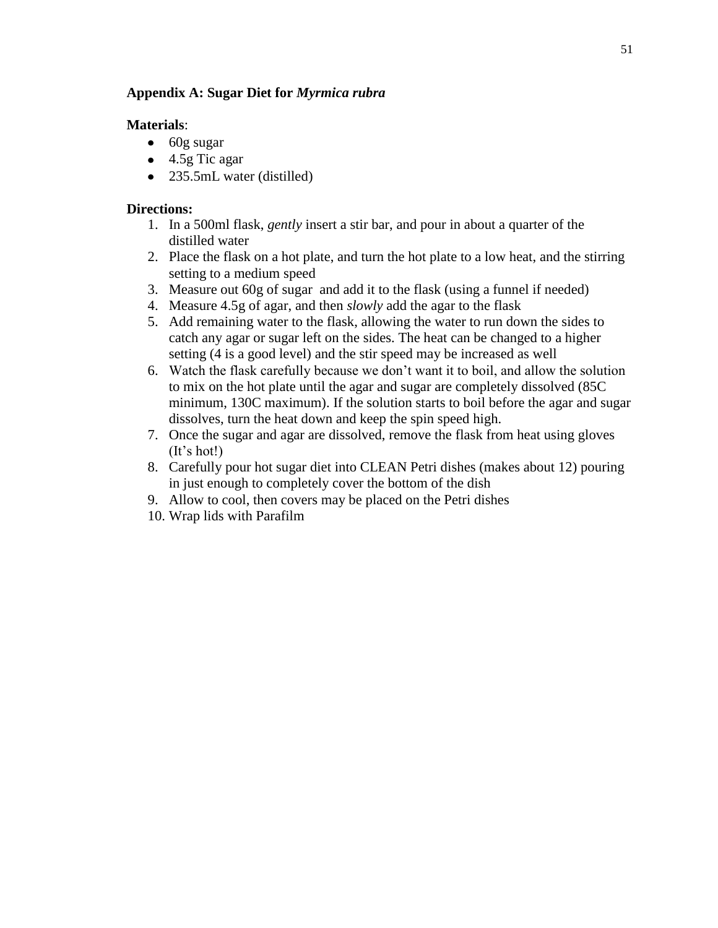## **Appendix A: Sugar Diet for** *Myrmica rubra*

### **Materials**:

- $\bullet$  60g sugar
- $\bullet$  4.5g Tic agar
- 235.5mL water (distilled)

#### **Directions:**

- 1. In a 500ml flask, *gently* insert a stir bar, and pour in about a quarter of the distilled water
- 2. Place the flask on a hot plate, and turn the hot plate to a low heat, and the stirring setting to a medium speed
- 3. Measure out 60g of sugar and add it to the flask (using a funnel if needed)
- 4. Measure 4.5g of agar, and then *slowly* add the agar to the flask
- 5. Add remaining water to the flask, allowing the water to run down the sides to catch any agar or sugar left on the sides. The heat can be changed to a higher setting (4 is a good level) and the stir speed may be increased as well
- 6. Watch the flask carefully because we don't want it to boil, and allow the solution to mix on the hot plate until the agar and sugar are completely dissolved (85C minimum, 130C maximum). If the solution starts to boil before the agar and sugar dissolves, turn the heat down and keep the spin speed high.
- 7. Once the sugar and agar are dissolved, remove the flask from heat using gloves (It's hot!)
- 8. Carefully pour hot sugar diet into CLEAN Petri dishes (makes about 12) pouring in just enough to completely cover the bottom of the dish
- 9. Allow to cool, then covers may be placed on the Petri dishes
- 10. Wrap lids with Parafilm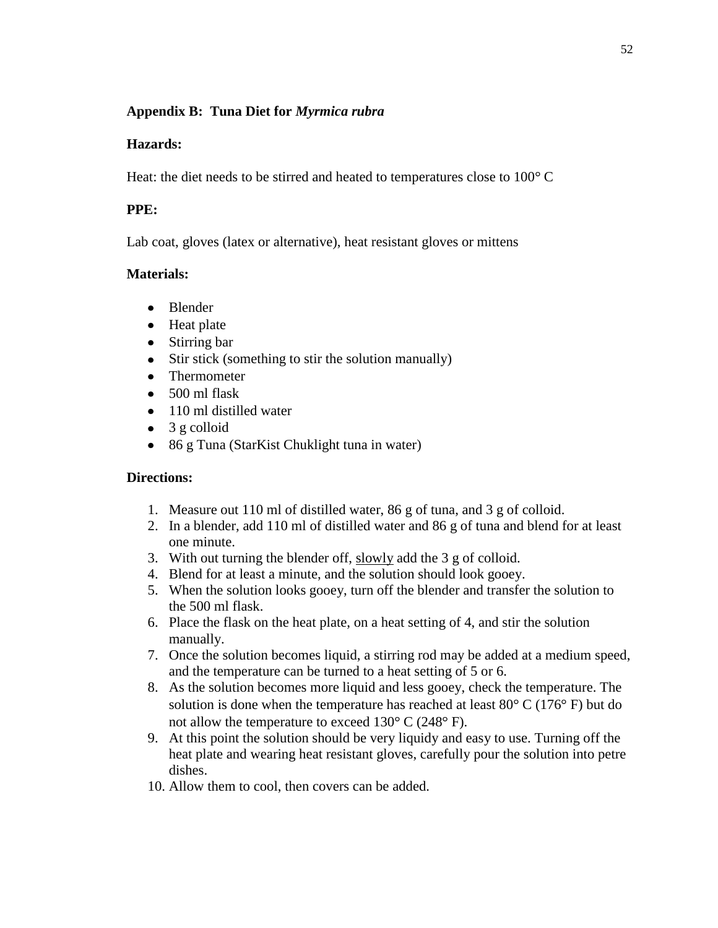## **Appendix B: Tuna Diet for** *Myrmica rubra*

## **Hazards:**

Heat: the diet needs to be stirred and heated to temperatures close to  $100^{\circ}$  C

## **PPE:**

Lab coat, gloves (latex or alternative), heat resistant gloves or mittens

## **Materials:**

- Blender
- Heat plate
- Stirring bar
- Stir stick (something to stir the solution manually)  $\bullet$
- Thermometer
- $\bullet$  500 ml flask
- 110 ml distilled water
- $\bullet$  3 g colloid
- 86 g Tuna (StarKist Chuklight tuna in water)

## **Directions:**

- 1. Measure out 110 ml of distilled water, 86 g of tuna, and 3 g of colloid.
- 2. In a blender, add 110 ml of distilled water and 86 g of tuna and blend for at least one minute.
- 3. With out turning the blender off, slowly add the 3 g of colloid.
- 4. Blend for at least a minute, and the solution should look gooey.
- 5. When the solution looks gooey, turn off the blender and transfer the solution to the 500 ml flask.
- 6. Place the flask on the heat plate, on a heat setting of 4, and stir the solution manually.
- 7. Once the solution becomes liquid, a stirring rod may be added at a medium speed, and the temperature can be turned to a heat setting of 5 or 6.
- 8. As the solution becomes more liquid and less gooey, check the temperature. The solution is done when the temperature has reached at least  $80^{\circ}$  C (176 $^{\circ}$  F) but do not allow the temperature to exceed  $130^{\circ}$  C (248 $^{\circ}$  F).
- 9. At this point the solution should be very liquidy and easy to use. Turning off the heat plate and wearing heat resistant gloves, carefully pour the solution into petre dishes.
- 10. Allow them to cool, then covers can be added.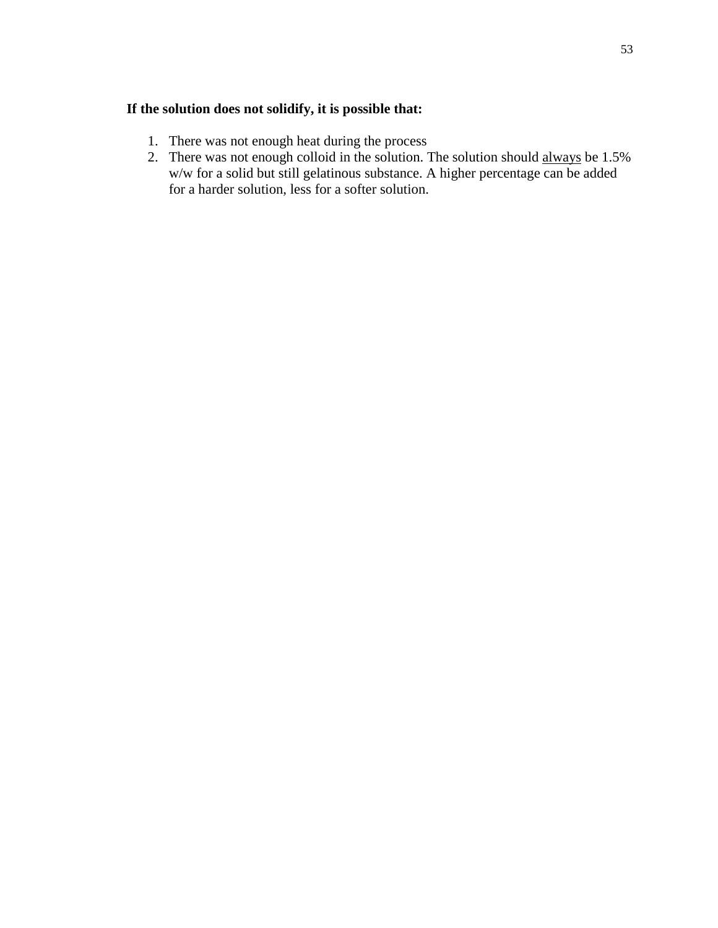## **If the solution does not solidify, it is possible that:**

- 1. There was not enough heat during the process
- 2. There was not enough colloid in the solution. The solution should always be 1.5% w/w for a solid but still gelatinous substance. A higher percentage can be added for a harder solution, less for a softer solution.